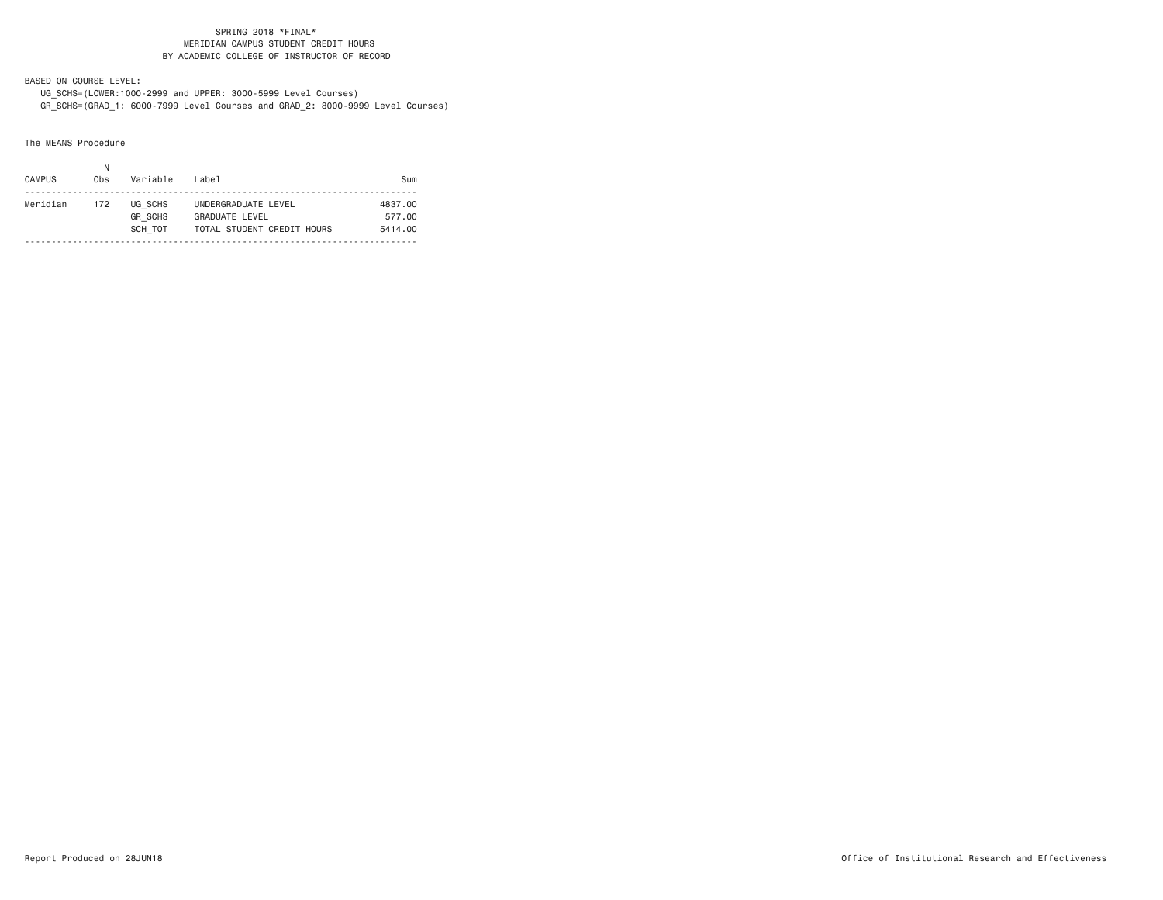#### SPRING 2018 \*FINAL\* MERIDIAN CAMPUS STUDENT CREDIT HOURSBY ACADEMIC COLLEGE OF INSTRUCTOR OF RECORD

BASED ON COURSE LEVEL:

 UG\_SCHS=(LOWER:1000-2999 and UPPER: 3000-5999 Level Courses) GR\_SCHS=(GRAD\_1: 6000-7999 Level Courses and GRAD\_2: 8000-9999 Level Courses)

The MEANS Procedure

| <b>CAMPUS</b> | Obs | Variable                             | Label                                                                      | Sum                          |
|---------------|-----|--------------------------------------|----------------------------------------------------------------------------|------------------------------|
| Meridian      | 172 | UG SCHS<br><b>GR SCHS</b><br>SCH TOT | UNDERGRADUATE LEVEL<br><b>GRADUATE LEVEL</b><br>TOTAL STUDENT CREDIT HOURS | 4837.00<br>577.00<br>5414.00 |
|               |     |                                      |                                                                            |                              |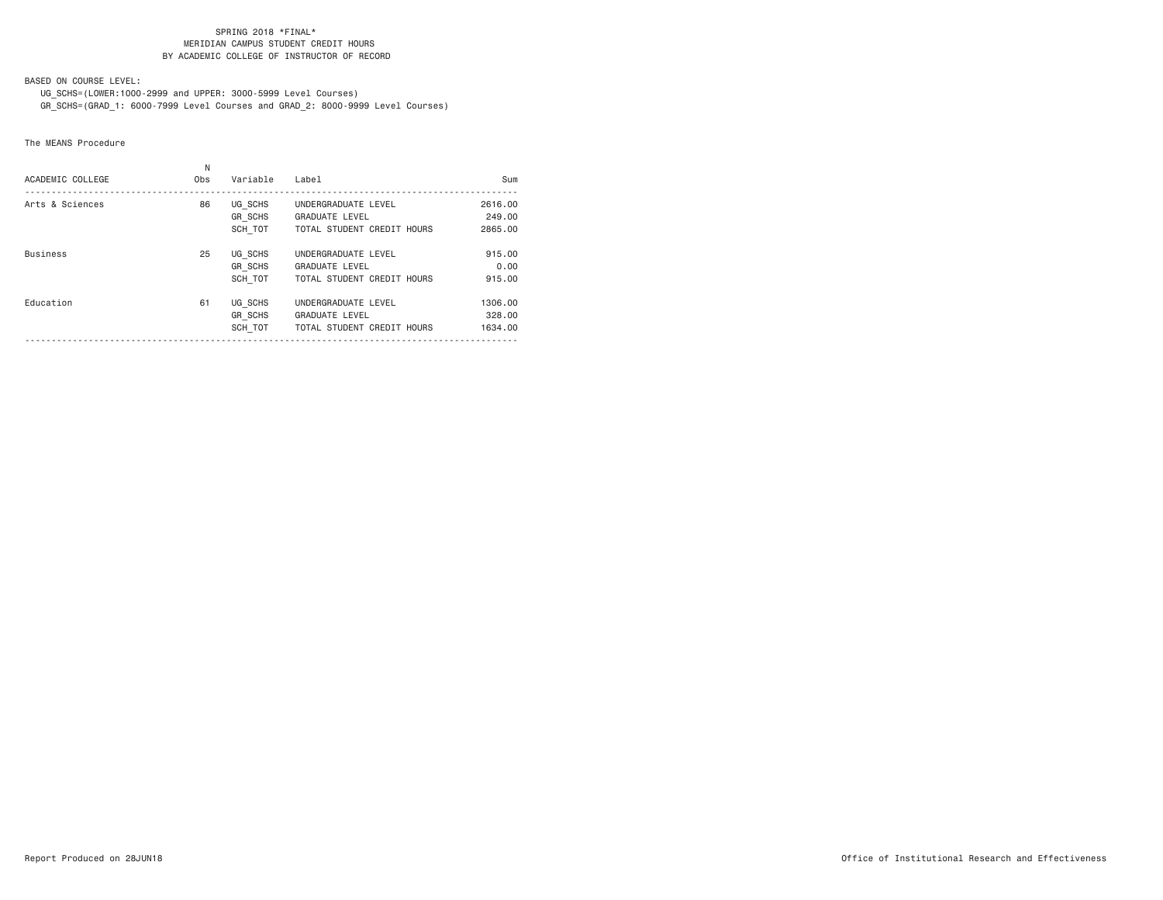#### SPRING 2018 \*FINAL\* MERIDIAN CAMPUS STUDENT CREDIT HOURSBY ACADEMIC COLLEGE OF INSTRUCTOR OF RECORD

BASED ON COURSE LEVEL:

 UG\_SCHS=(LOWER:1000-2999 and UPPER: 3000-5999 Level Courses) GR\_SCHS=(GRAD\_1: 6000-7999 Level Courses and GRAD\_2: 8000-9999 Level Courses)

The MEANS Procedure

| ACADEMIC COLLEGE | N<br>Obs | Variable                             | Label                                                                      | Sum                          |
|------------------|----------|--------------------------------------|----------------------------------------------------------------------------|------------------------------|
| Arts & Sciences  | 86       | UG SCHS<br>GR SCHS<br>SCH TOT        | UNDERGRADUATE LEVEL<br><b>GRADUATE LEVEL</b><br>TOTAL STUDENT CREDIT HOURS | 2616.00<br>249.00<br>2865,00 |
| <b>Business</b>  | 25       | UG SCHS<br><b>GR SCHS</b><br>SCH TOT | UNDERGRADUATE LEVEL<br><b>GRADUATE LEVEL</b><br>TOTAL STUDENT CREDIT HOURS | 915.00<br>0.00<br>915.00     |
| Education        | 61       | UG SCHS<br><b>GR SCHS</b><br>SCH TOT | UNDERGRADUATE LEVEL<br><b>GRADUATE LEVEL</b><br>TOTAL STUDENT CREDIT HOURS | 1306,00<br>328,00<br>1634.00 |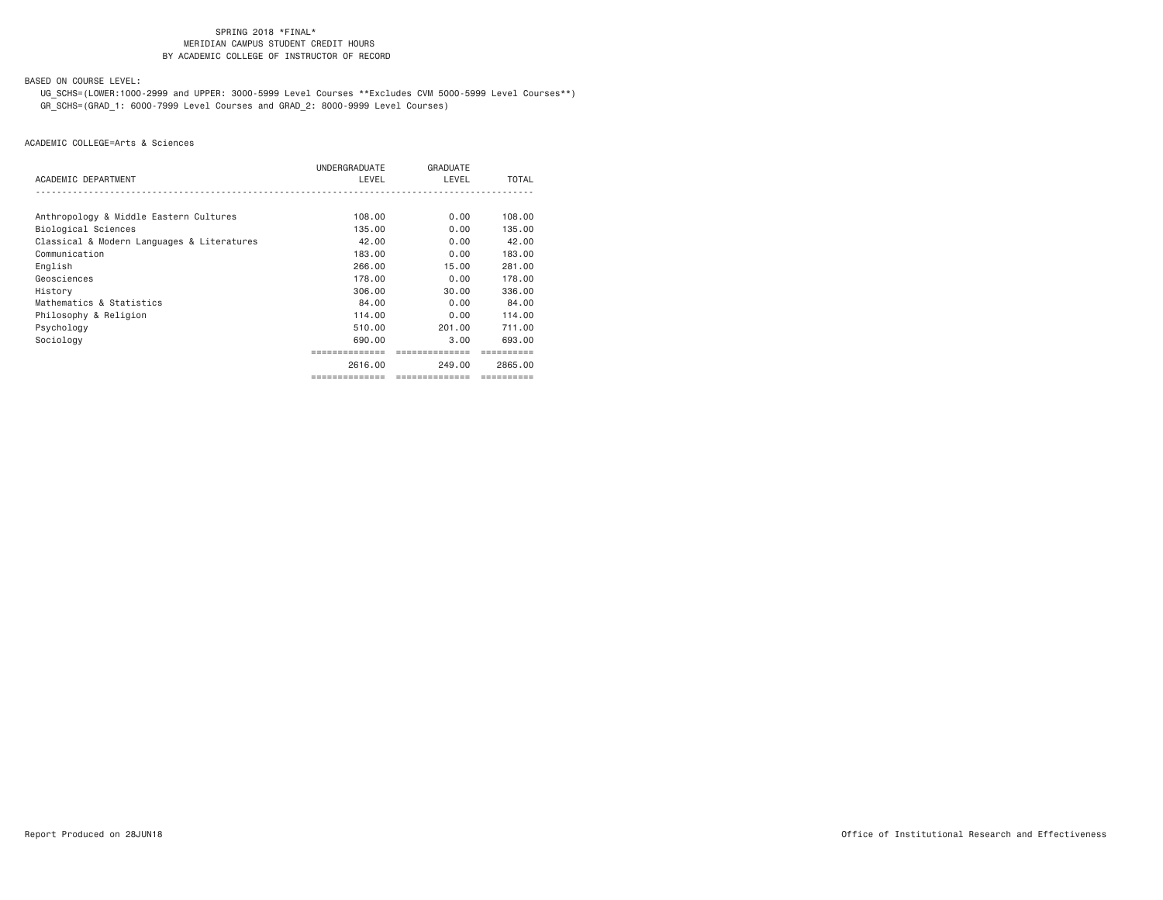### SPRING 2018 \*FINAL\*MERIDIAN CAMPUS STUDENT CREDIT HOURS BY ACADEMIC COLLEGE OF INSTRUCTOR OF RECORD

BASED ON COURSE LEVEL:

 UG\_SCHS=(LOWER:1000-2999 and UPPER: 3000-5999 Level Courses \*\*Excludes CVM 5000-5999 Level Courses\*\*) GR\_SCHS=(GRAD\_1: 6000-7999 Level Courses and GRAD\_2: 8000-9999 Level Courses)

| ACADEMIC DEPARTMENT                        | UNDERGRADUATE<br>LEVEL | GRADUATE<br>LEVEL | TOTAL     |
|--------------------------------------------|------------------------|-------------------|-----------|
|                                            |                        |                   |           |
| Anthropology & Middle Eastern Cultures     | 108,00                 | 0.00              | 108,00    |
| Biological Sciences                        | 135.00                 | 0.00              | 135.00    |
| Classical & Modern Languages & Literatures | 42.00                  | 0.00              | 42.00     |
| Communication                              | 183.00                 | 0.00              | 183.00    |
| English                                    | 266.00                 | 15.00             | 281,00    |
| Geosciences                                | 178,00                 | 0.00              | 178,00    |
| History                                    | 306.00                 | 30.00             | 336.00    |
| Mathematics & Statistics                   | 84.00                  | 0.00              | 84.00     |
| Philosophy & Religion                      | 114.00                 | 0.00              | 114.00    |
| Psychology                                 | 510.00                 | 201.00            | 711.00    |
| Sociology                                  | 690,00                 | 3,00              | 693,00    |
|                                            |                        |                   |           |
|                                            | 2616.00                | 249.00            | 2865.00   |
|                                            | =============          | :=============    | ========= |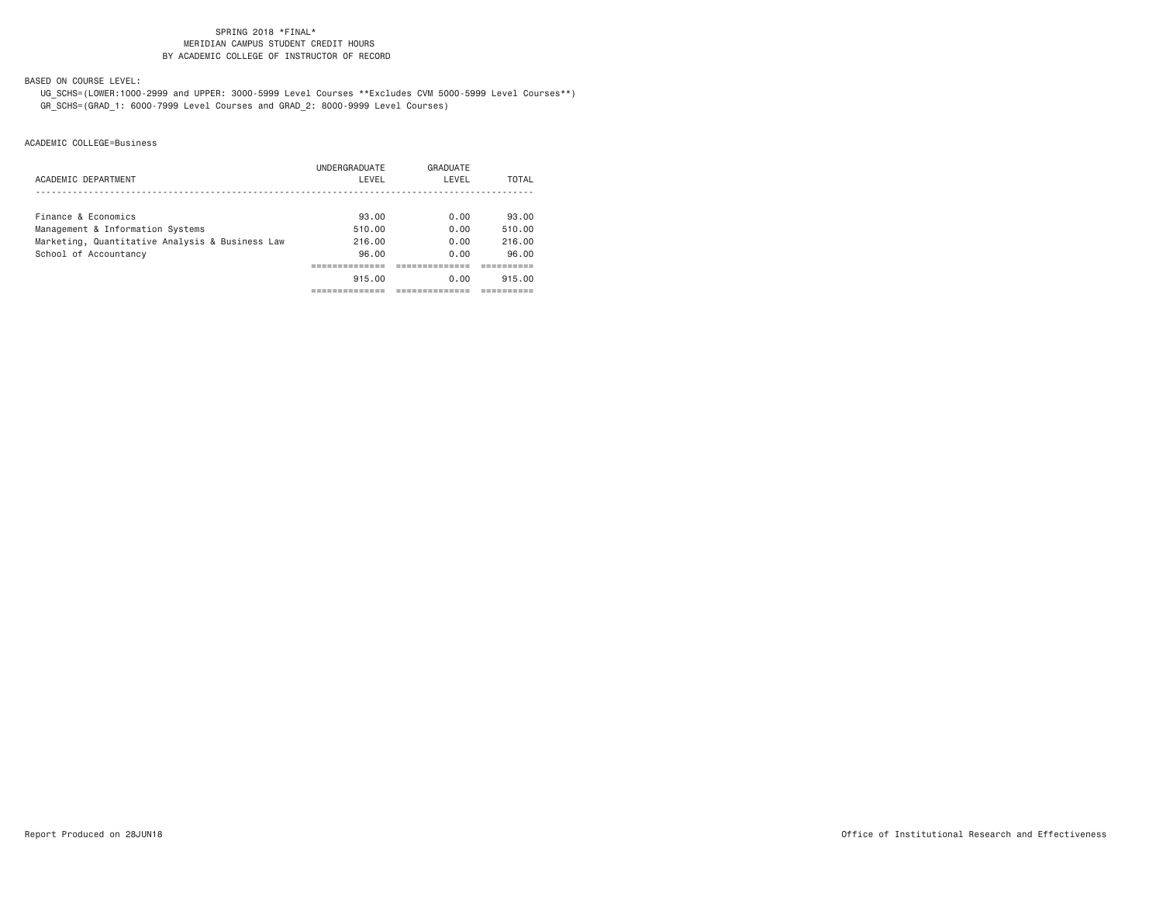### SPRING 2018 \*FINAL\*MERIDIAN CAMPUS STUDENT CREDIT HOURS BY ACADEMIC COLLEGE OF INSTRUCTOR OF RECORD

BASED ON COURSE LEVEL:

 UG\_SCHS=(LOWER:1000-2999 and UPPER: 3000-5999 Level Courses \*\*Excludes CVM 5000-5999 Level Courses\*\*) GR\_SCHS=(GRAD\_1: 6000-7999 Level Courses and GRAD\_2: 8000-9999 Level Courses)

| ACADEMIC DEPARTMENT                                                                 | UNDERGRADUATE<br>LEVEL | GRADUATE<br>LEVEL | TOTAL            |
|-------------------------------------------------------------------------------------|------------------------|-------------------|------------------|
| Finance & Economics                                                                 | 93.00                  | 0.00              | 93.00            |
| Management & Information Systems<br>Marketing, Quantitative Analysis & Business Law | 510.00<br>216.00       | 0.00<br>0.00      | 510.00<br>216.00 |
| School of Accountancy                                                               | 96.00                  | 0.00              | 96.00            |
|                                                                                     | 915.00                 | 0.00              | 915.00           |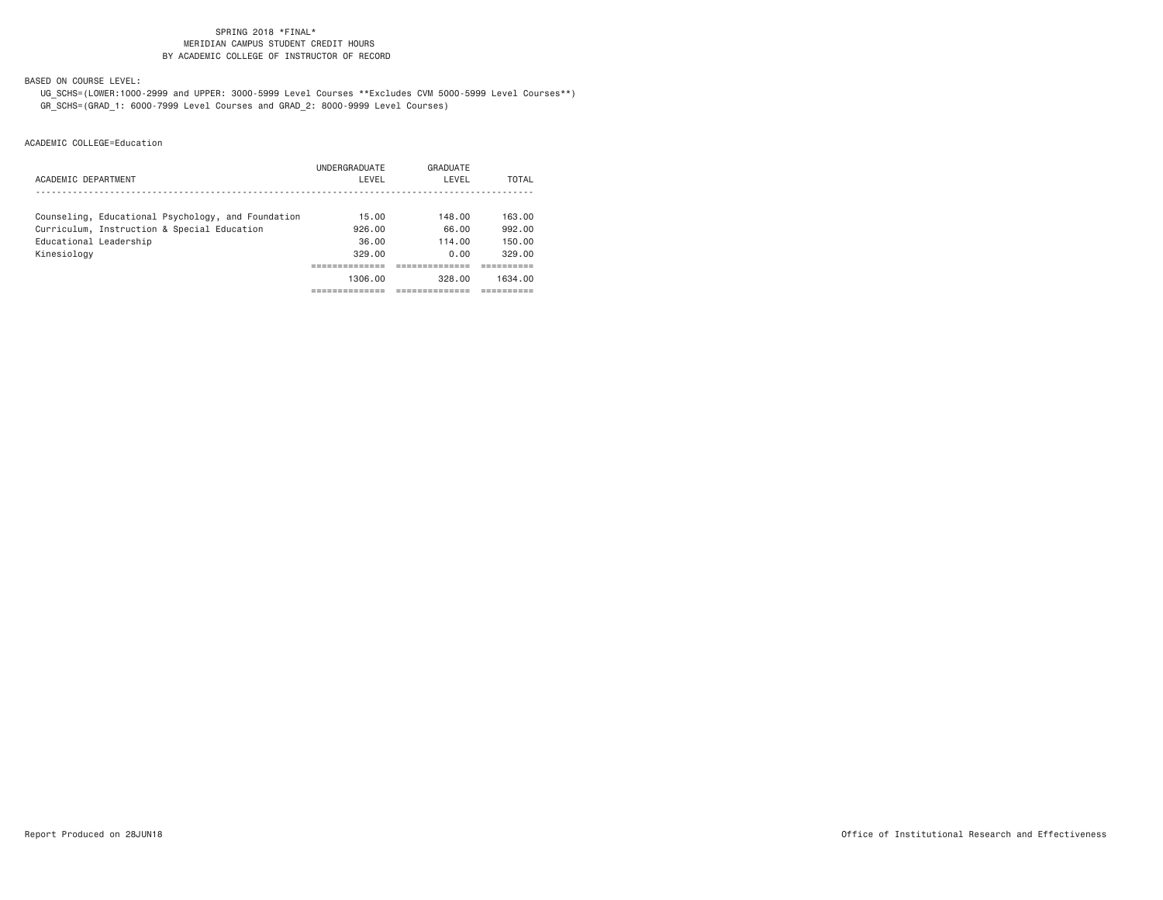### SPRING 2018 \*FINAL\*MERIDIAN CAMPUS STUDENT CREDIT HOURS BY ACADEMIC COLLEGE OF INSTRUCTOR OF RECORD

BASED ON COURSE LEVEL:

 UG\_SCHS=(LOWER:1000-2999 and UPPER: 3000-5999 Level Courses \*\*Excludes CVM 5000-5999 Level Courses\*\*) GR\_SCHS=(GRAD\_1: 6000-7999 Level Courses and GRAD\_2: 8000-9999 Level Courses)

| ACADEMIC DEPARTMENT                                                   | UNDERGRADUATE<br>LEVEL | GRADUATE<br>LEVEL | TOTAL            |
|-----------------------------------------------------------------------|------------------------|-------------------|------------------|
| Counseling, Educational Psychology, and Foundation                    | 15.00                  | 148.00            | 163.00           |
| Curriculum, Instruction & Special Education<br>Educational Leadership | 926.00<br>36.00        | 66.00<br>114.00   | 992.00<br>150.00 |
| Kinesiology                                                           | 329.00                 | 0.00              | 329.00           |
|                                                                       | 1306.00                | 328.00            | 1634.00          |
|                                                                       |                        |                   |                  |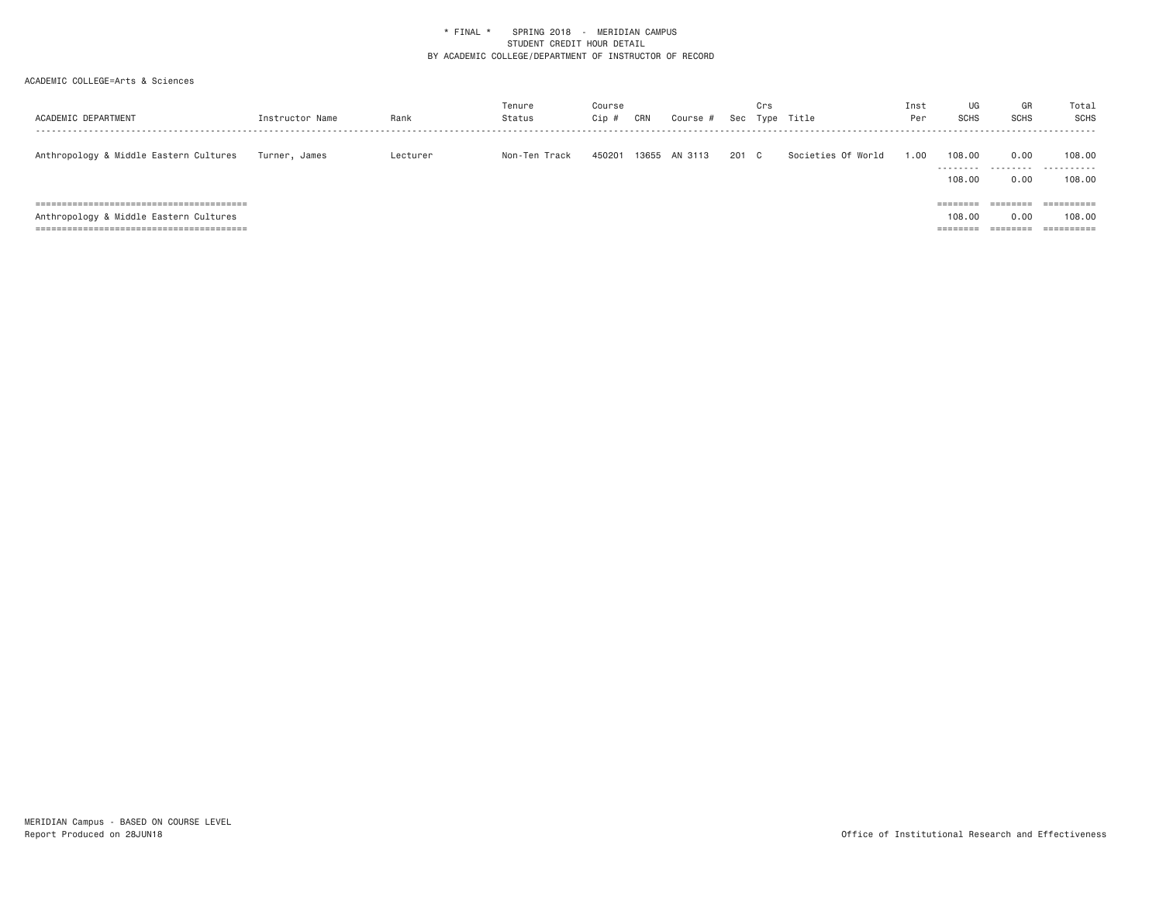| ACADEMIC DEPARTMENT                                                      | Instructor Name | Rank     | Tenure<br>Status | Course<br>Cip # | CRN   | Course # | Sec   | Crs | Type Title         | Inst<br>Per | UG<br><b>SCHS</b>                          | GR<br><b>SCHS</b>            | Total<br>SCHS                                                 |
|--------------------------------------------------------------------------|-----------------|----------|------------------|-----------------|-------|----------|-------|-----|--------------------|-------------|--------------------------------------------|------------------------------|---------------------------------------------------------------|
| Anthropology & Middle Eastern Cultures                                   | Turner, James   | Lecturer | Non-Ten Track    | 450201          | 13655 | AN 3113  | 201 C |     | Societies Of World | 1,00        | 108,00<br>.<br>108,00                      | 0.00<br>---------<br>0.00    | 108,00<br>.<br>108,00                                         |
| ,,,,,,,,,,,,,,,,,,,,,,,,,,,,,,<br>Anthropology & Middle Eastern Cultures |                 |          |                  |                 |       |          |       |     |                    |             | ========<br>108,00<br>--------<br>-------- | 0.00<br>________<br>-------- | $=$ = = = = = = = = = =<br>108,00<br>----------<br>---------- |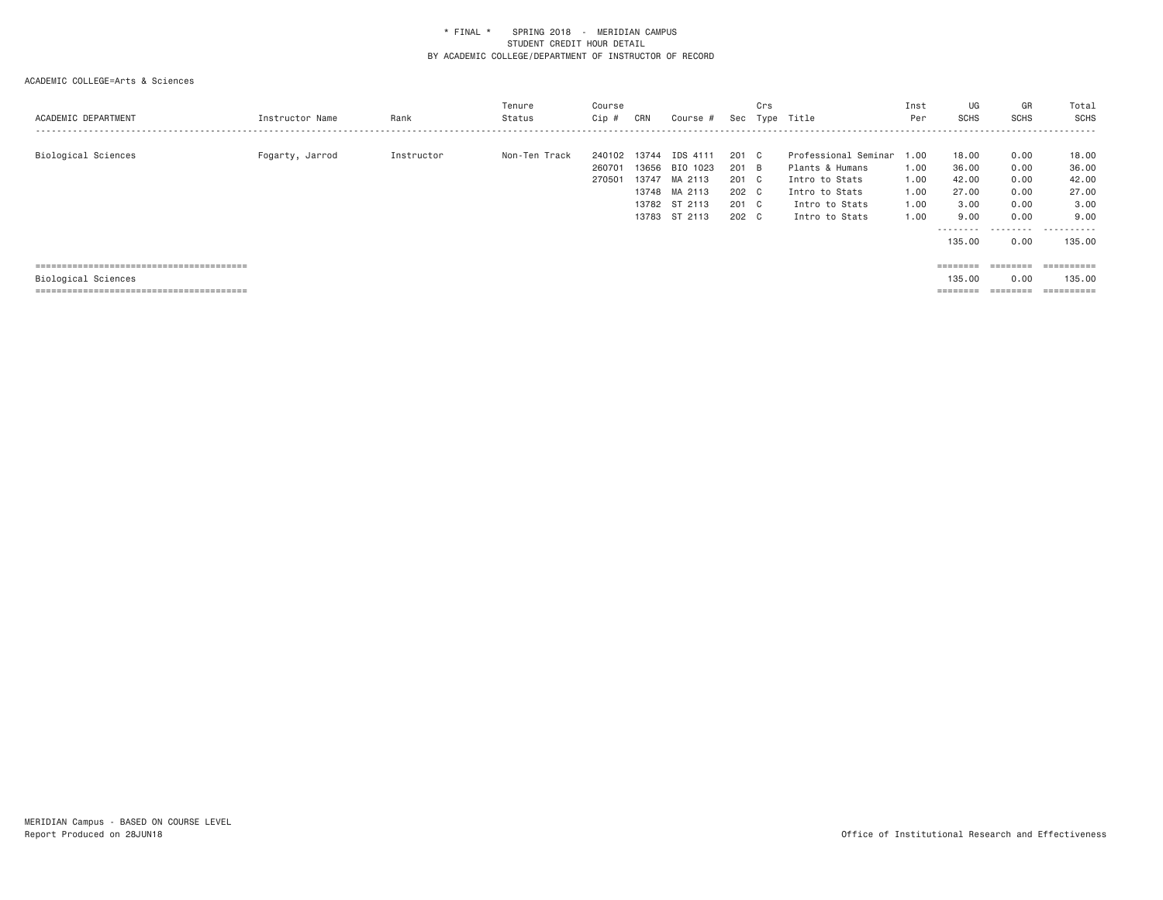| ACADEMIC DEPARTMENT | Instructor Name | Rank       | Tenure<br>Status | Course<br>Cip #            | CRN                              | Course #                                                                     | Sec                                                | Crs | Type Title                                                                                                      | Inst<br>Per                                  | UG<br><b>SCHS</b>                                                       | GR<br>SCHS                                                | Total<br><b>SCHS</b>                                            |
|---------------------|-----------------|------------|------------------|----------------------------|----------------------------------|------------------------------------------------------------------------------|----------------------------------------------------|-----|-----------------------------------------------------------------------------------------------------------------|----------------------------------------------|-------------------------------------------------------------------------|-----------------------------------------------------------|-----------------------------------------------------------------|
| Biological Sciences | Fogarty, Jarrod | Instructor | Non-Ten Track    | 240102<br>260701<br>270501 | 13744<br>13656<br>13747<br>13748 | IDS 4111<br>BIO 1023<br>MA 2113<br>MA 2113<br>13782 ST 2113<br>13783 ST 2113 | 201 C<br>201 B<br>201 C<br>202 C<br>201 C<br>202 C |     | Professional Seminar<br>Plants & Humans<br>Intro to Stats<br>Intro to Stats<br>Intro to Stats<br>Intro to Stats | 1.00<br>1.00<br>1.00<br>1.00<br>1.00<br>1.00 | 18,00<br>36.00<br>42.00<br>27.00<br>3.00<br>9.00<br>---------<br>135,00 | 0.00<br>0.00<br>0.00<br>0.00<br>0.00<br>0.00<br>.<br>0.00 | 18.00<br>36.00<br>42.00<br>27.00<br>3.00<br>9.00<br>.<br>135,00 |
|                     |                 |            |                  |                            |                                  |                                                                              |                                                    |     |                                                                                                                 |                                              | ========                                                                | ========                                                  | ==========                                                      |
| Biological Sciences |                 |            |                  |                            |                                  |                                                                              |                                                    |     |                                                                                                                 |                                              | 135.00                                                                  | 0.00                                                      | 135,00                                                          |
|                     |                 |            |                  |                            |                                  |                                                                              |                                                    |     |                                                                                                                 |                                              | $=$ = = = = = = =                                                       | $=$ = = = = = = =                                         | $=$ = = = = = = = = =                                           |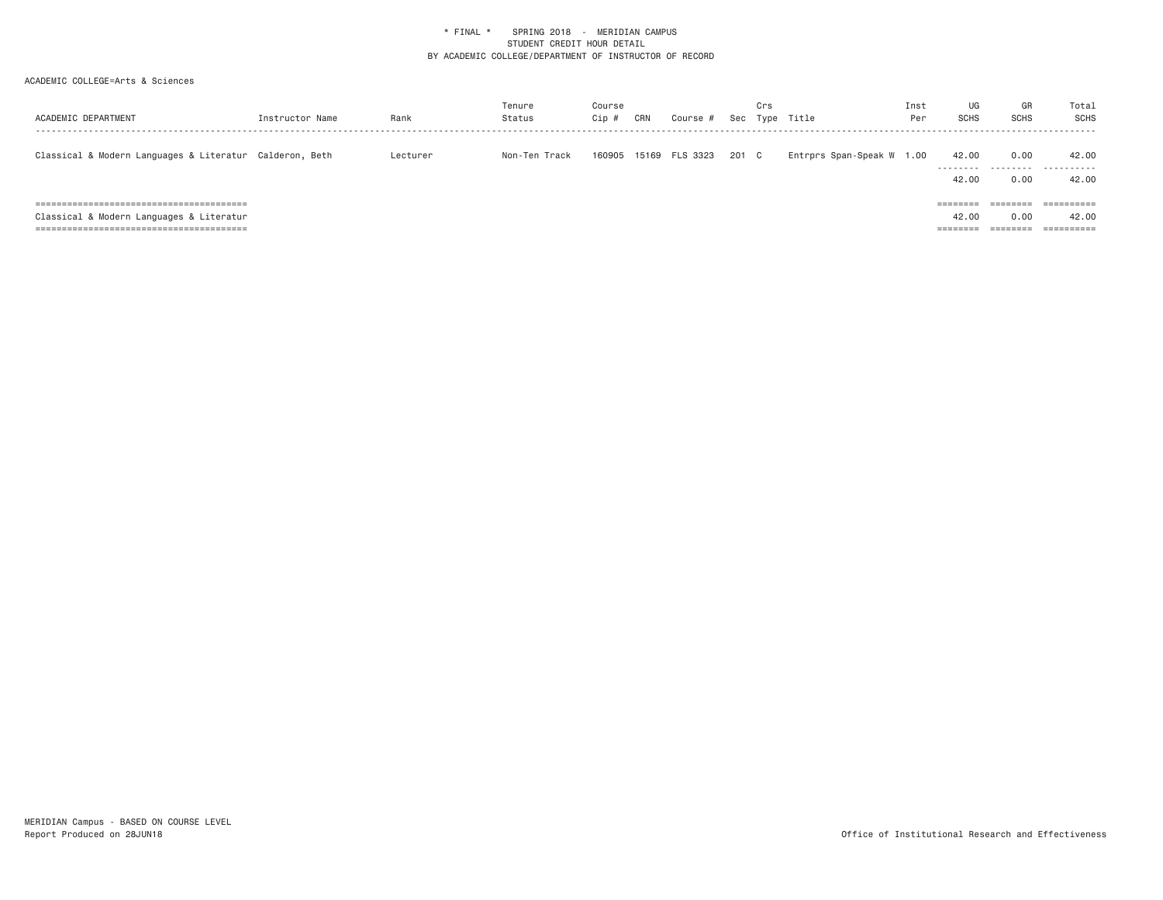| ACADEMIC DEPARTMENT                                     | Instructor Name | Rank     | Tenure<br>Status | Course<br>Cip # | CRN | Course #       | Sec   | Crs | Type Title                | Inst<br>Per | UG<br><b>SCHS</b>             | GR<br>SCHS                              | Total<br>SCHS                          |
|---------------------------------------------------------|-----------------|----------|------------------|-----------------|-----|----------------|-------|-----|---------------------------|-------------|-------------------------------|-----------------------------------------|----------------------------------------|
| Classical & Modern Languages & Literatur Calderon, Beth |                 | Lecturer | Non-Ten Track    | 160905          |     | 15169 FLS 3323 | 201 C |     | Entrprs Span-Speak W 1.00 |             | 42.00<br>42.00                | 0.00<br>0.00                            | 42.00<br><br>42.00                     |
| Classical & Modern Languages & Literatur                |                 |          |                  |                 |     |                |       |     |                           |             | ========<br>42.00<br>======== | --------<br>--------<br>0.00<br>======= | $= 22222222222$<br>42.00<br>========== |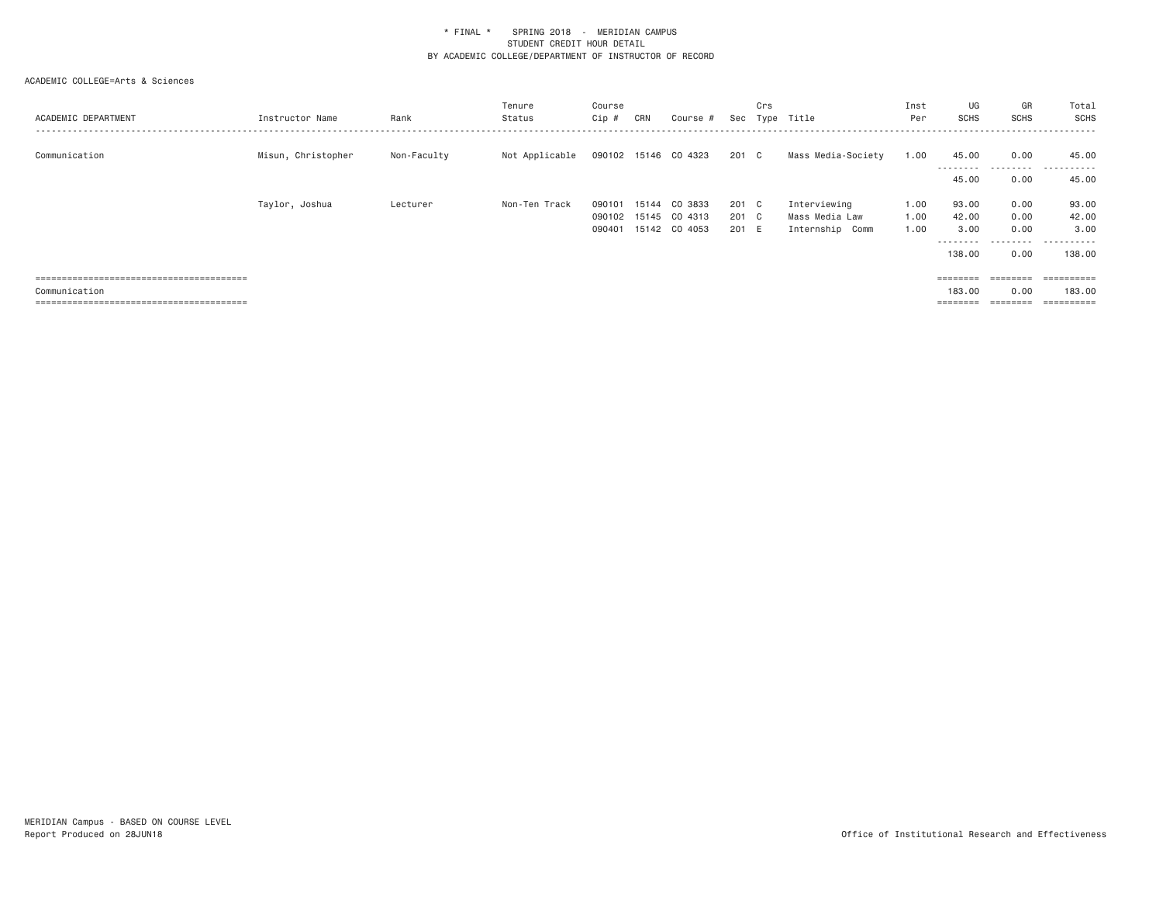| ACADEMIC DEPARTMENT | Instructor Name    | Rank        | Tenure<br>Status | Course<br>Cip # | CRN   | Course #             | Sec   | Crs | Type Title         | Inst<br>Per | UG<br>SCHS         | GR<br>SCHS        | Total<br><b>SCHS</b><br>. |
|---------------------|--------------------|-------------|------------------|-----------------|-------|----------------------|-------|-----|--------------------|-------------|--------------------|-------------------|---------------------------|
| Communication       | Misun, Christopher | Non-Faculty | Not Applicable   |                 |       | 090102 15146 CO 4323 | 201 C |     | Mass Media-Society | 1.00        | 45.00<br>--------- | 0.00<br>.         | 45.00<br>-------<br>----  |
|                     |                    |             |                  |                 |       |                      |       |     |                    |             | 45.00              | 0.00              | 45.00                     |
|                     | Taylor, Joshua     | Lecturer    | Non-Ten Track    | 090101          | 15144 | CO 3833              | 201 C |     | Interviewing       | 1.00        | 93.00              | 0.00              | 93.00                     |
|                     |                    |             |                  | 090102          | 15145 | CO 4313              | 201 C |     | Mass Media Law     | 1.00        | 42.00              | 0.00              | 42.00                     |
|                     |                    |             |                  | 090401          |       | 15142 CO 4053        | 201 E |     | Internship Comm    | 1.00        | 3.00               | 0.00              | 3,00                      |
|                     |                    |             |                  |                 |       |                      |       |     |                    |             | ---------          | .                 | -------<br>---            |
|                     |                    |             |                  |                 |       |                      |       |     |                    |             | 138.00             | 0.00              | 138.00                    |
|                     |                    |             |                  |                 |       |                      |       |     |                    |             |                    |                   |                           |
|                     |                    |             |                  |                 |       |                      |       |     |                    |             | $=$ = = = = = = =  | ========          | ==========                |
| Communication       |                    |             |                  |                 |       |                      |       |     |                    |             | 183.00             | 0.00              | 183.00                    |
|                     |                    |             |                  |                 |       |                      |       |     |                    |             | --------           | $=$ = = = = = = = | -----------<br>---------- |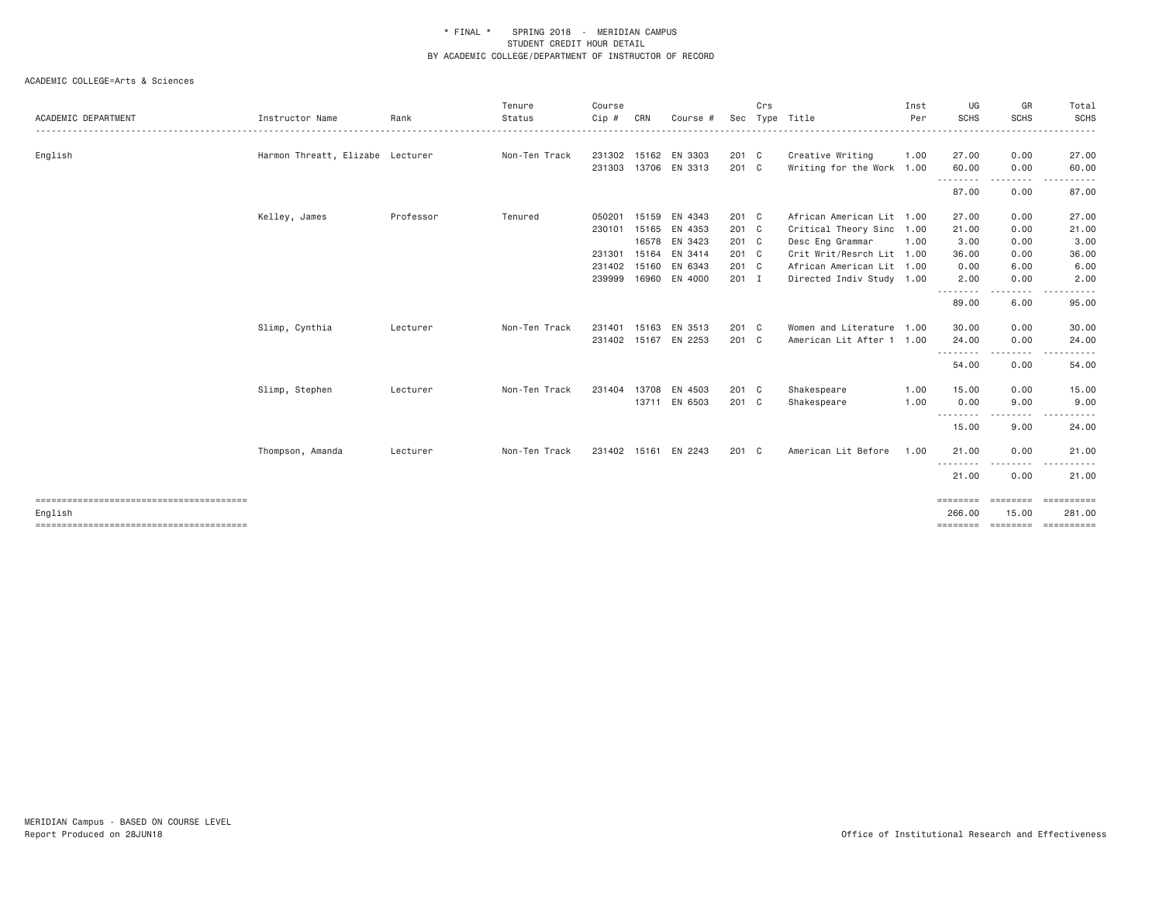|                                        |                                  |           | Tenure        | Course |       |               |               | Crs |                           | Inst | UG                  | GR                                                                                                                                                                                                                                                                                                                                                                                                                                                                                             | Total                                                                                                                                                                                                                                                                                                                                                                                                                                                                           |
|----------------------------------------|----------------------------------|-----------|---------------|--------|-------|---------------|---------------|-----|---------------------------|------|---------------------|------------------------------------------------------------------------------------------------------------------------------------------------------------------------------------------------------------------------------------------------------------------------------------------------------------------------------------------------------------------------------------------------------------------------------------------------------------------------------------------------|---------------------------------------------------------------------------------------------------------------------------------------------------------------------------------------------------------------------------------------------------------------------------------------------------------------------------------------------------------------------------------------------------------------------------------------------------------------------------------|
| ACADEMIC DEPARTMENT                    | Instructor Name                  | Rank      | Status        | Cip #  | CRN   | Course #      | Sec           |     | Type Title                | Per  | <b>SCHS</b>         | <b>SCHS</b>                                                                                                                                                                                                                                                                                                                                                                                                                                                                                    | <b>SCHS</b><br>$\frac{1}{2} \left( \frac{1}{2} \right) \left( \frac{1}{2} \right) \left( \frac{1}{2} \right) \left( \frac{1}{2} \right) \left( \frac{1}{2} \right)$                                                                                                                                                                                                                                                                                                             |
| English                                | Harmon Threatt, Elizabe Lecturer |           | Non-Ten Track | 231302 |       | 15162 EN 3303 | 201 C         |     | Creative Writing          | 1.00 | 27.00               | 0.00                                                                                                                                                                                                                                                                                                                                                                                                                                                                                           | 27.00                                                                                                                                                                                                                                                                                                                                                                                                                                                                           |
|                                        |                                  |           |               | 231303 |       | 13706 EN 3313 | 201 C         |     | Writing for the Work 1.00 |      | 60.00<br>.          | 0.00<br>$- - - -$                                                                                                                                                                                                                                                                                                                                                                                                                                                                              | 60.00                                                                                                                                                                                                                                                                                                                                                                                                                                                                           |
|                                        |                                  |           |               |        |       |               |               |     |                           |      | 87.00               | 0.00                                                                                                                                                                                                                                                                                                                                                                                                                                                                                           | 87.00                                                                                                                                                                                                                                                                                                                                                                                                                                                                           |
|                                        | Kelley, James                    | Professor | Tenured       | 050201 | 15159 | EN 4343       | $201 \quad C$ |     | African American Lit 1.00 |      | 27.00               | 0.00                                                                                                                                                                                                                                                                                                                                                                                                                                                                                           | 27.00                                                                                                                                                                                                                                                                                                                                                                                                                                                                           |
|                                        |                                  |           |               | 230101 | 15165 | EN 4353       | 201 C         |     | Critical Theory Sinc 1.00 |      | 21.00               | 0.00                                                                                                                                                                                                                                                                                                                                                                                                                                                                                           | 21.00                                                                                                                                                                                                                                                                                                                                                                                                                                                                           |
|                                        |                                  |           |               |        | 16578 | EN 3423       | 201 C         |     | Desc Eng Grammar          | 1.00 | 3.00                | 0.00                                                                                                                                                                                                                                                                                                                                                                                                                                                                                           | 3.00                                                                                                                                                                                                                                                                                                                                                                                                                                                                            |
|                                        |                                  |           |               | 231301 | 15164 | EN 3414       | 201 C         |     | Crit Writ/Resrch Lit 1.00 |      | 36.00               | 0.00                                                                                                                                                                                                                                                                                                                                                                                                                                                                                           | 36.00                                                                                                                                                                                                                                                                                                                                                                                                                                                                           |
|                                        |                                  |           |               | 231402 | 15160 | EN 6343       | 201 C         |     | African American Lit 1.00 |      | 0.00                | 6.00                                                                                                                                                                                                                                                                                                                                                                                                                                                                                           | 6.00                                                                                                                                                                                                                                                                                                                                                                                                                                                                            |
|                                        |                                  |           |               | 239999 |       | 16960 EN 4000 | 201 I         |     | Directed Indiv Study 1.00 |      | 2.00<br>. <u>.</u>  | 0.00<br>$- - - -$                                                                                                                                                                                                                                                                                                                                                                                                                                                                              | 2.00<br>-----                                                                                                                                                                                                                                                                                                                                                                                                                                                                   |
|                                        |                                  |           |               |        |       |               |               |     |                           |      | 89.00               | 6.00                                                                                                                                                                                                                                                                                                                                                                                                                                                                                           | 95.00                                                                                                                                                                                                                                                                                                                                                                                                                                                                           |
|                                        | Slimp, Cynthia                   | Lecturer  | Non-Ten Track | 231401 | 15163 | EN 3513       | $201$ C       |     | Women and Literature 1.00 |      | 30.00               | 0.00                                                                                                                                                                                                                                                                                                                                                                                                                                                                                           | 30.00                                                                                                                                                                                                                                                                                                                                                                                                                                                                           |
|                                        |                                  |           |               | 231402 | 15167 | EN 2253       | 201 C         |     | American Lit After 1 1.00 |      | 24.00               | 0.00                                                                                                                                                                                                                                                                                                                                                                                                                                                                                           | 24.00                                                                                                                                                                                                                                                                                                                                                                                                                                                                           |
|                                        |                                  |           |               |        |       |               |               |     |                           |      | <u>.</u> .<br>54.00 | $\begin{array}{cccccccccccccc} \multicolumn{2}{c}{} & \multicolumn{2}{c}{} & \multicolumn{2}{c}{} & \multicolumn{2}{c}{} & \multicolumn{2}{c}{} & \multicolumn{2}{c}{} & \multicolumn{2}{c}{} & \multicolumn{2}{c}{} & \multicolumn{2}{c}{} & \multicolumn{2}{c}{} & \multicolumn{2}{c}{} & \multicolumn{2}{c}{} & \multicolumn{2}{c}{} & \multicolumn{2}{c}{} & \multicolumn{2}{c}{} & \multicolumn{2}{c}{} & \multicolumn{2}{c}{} & \multicolumn{2}{c}{} & \multicolumn{2}{c}{} & \$<br>0.00 | .<br>54.00                                                                                                                                                                                                                                                                                                                                                                                                                                                                      |
|                                        | Slimp, Stephen                   | Lecturer  | Non-Ten Track | 231404 |       | 13708 EN 4503 | $201 \quad C$ |     | Shakespeare               | 1.00 | 15.00               | 0.00                                                                                                                                                                                                                                                                                                                                                                                                                                                                                           | 15.00                                                                                                                                                                                                                                                                                                                                                                                                                                                                           |
|                                        |                                  |           |               |        |       | 13711 EN 6503 | 201 C         |     | Shakespeare               | 1.00 | 0.00                | 9.00                                                                                                                                                                                                                                                                                                                                                                                                                                                                                           | 9.00                                                                                                                                                                                                                                                                                                                                                                                                                                                                            |
|                                        |                                  |           |               |        |       |               |               |     |                           |      | .<br>15.00          | .<br>9.00                                                                                                                                                                                                                                                                                                                                                                                                                                                                                      | 24.00                                                                                                                                                                                                                                                                                                                                                                                                                                                                           |
|                                        | Thompson, Amanda                 | Lecturer  | Non-Ten Track | 231402 | 15161 | EN 2243       | 201 C         |     | American Lit Before       | 1.00 | 21.00               | 0.00                                                                                                                                                                                                                                                                                                                                                                                                                                                                                           | 21.00                                                                                                                                                                                                                                                                                                                                                                                                                                                                           |
|                                        |                                  |           |               |        |       |               |               |     |                           |      | .<br>21.00          | <u>.</u><br>0.00                                                                                                                                                                                                                                                                                                                                                                                                                                                                               | .<br>21.00                                                                                                                                                                                                                                                                                                                                                                                                                                                                      |
| -------------------------------------- |                                  |           |               |        |       |               |               |     |                           |      | ========            | <b>CONSIGNS</b>                                                                                                                                                                                                                                                                                                                                                                                                                                                                                | ==========                                                                                                                                                                                                                                                                                                                                                                                                                                                                      |
| Enalish                                |                                  |           |               |        |       |               |               |     |                           |      | 266,00              | 15.00                                                                                                                                                                                                                                                                                                                                                                                                                                                                                          | 281.00                                                                                                                                                                                                                                                                                                                                                                                                                                                                          |
|                                        |                                  |           |               |        |       |               |               |     |                           |      | ========            |                                                                                                                                                                                                                                                                                                                                                                                                                                                                                                | $\begin{minipage}{0.03\linewidth} \hspace*{0.03\linewidth} \hspace*{0.03\linewidth} \hspace*{0.03\linewidth} \hspace*{0.03\linewidth} \hspace*{0.03\linewidth} \hspace*{0.03\linewidth} \hspace*{0.03\linewidth} \hspace*{0.03\linewidth} \hspace*{0.03\linewidth} \hspace*{0.03\linewidth} \hspace*{0.03\linewidth} \hspace*{0.03\linewidth} \hspace*{0.03\linewidth} \hspace*{0.03\linewidth} \hspace*{0.03\linewidth} \hspace*{0.03\linewidth} \hspace*{0.03\linewidth} \hs$ |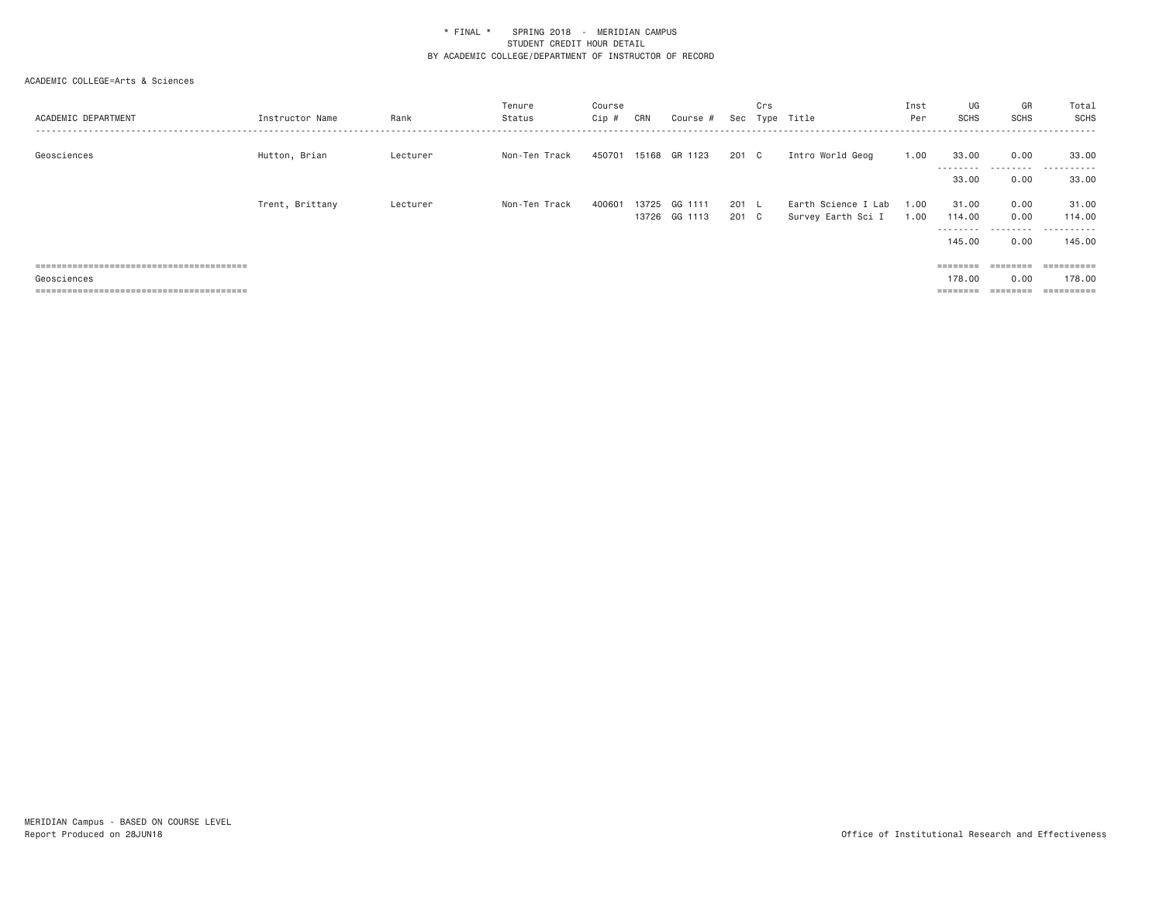| ACADEMIC DEPARTMENT | Instructor Name | Rank     | Tenure<br>Status | Course<br>Cip # | CRN   | Course #                 | Sec                    | Crs | Type Title                                | Inst<br>Per  | UG<br><b>SCHS</b>                       | GR<br>SCHS                                       | Total<br><b>SCHS</b><br>- - - - - -           |
|---------------------|-----------------|----------|------------------|-----------------|-------|--------------------------|------------------------|-----|-------------------------------------------|--------------|-----------------------------------------|--------------------------------------------------|-----------------------------------------------|
| Geosciences         | Hutton, Brian   | Lecturer | Non-Ten Track    | 450701          |       | 15168 GR 1123            | 201 C                  |     | Intro World Geog                          | 1.00         | 33,00<br>---------<br>33.00             | 0.00<br>.<br>0.00                                | 33.00<br>.<br>33.00                           |
|                     | Trent, Brittany | Lecturer | Non-Ten Track    | 400601          | 13725 | GG 1111<br>13726 GG 1113 | $201 \quad L$<br>201 C |     | Earth Science I Lab<br>Survey Earth Sci I | 1.00<br>1.00 | 31.00<br>114.00<br>---------<br>145.00  | 0.00<br>0.00<br>.<br>0.00                        | 31.00<br>114.00<br>.<br>145.00                |
| Geosciences         |                 |          |                  |                 |       |                          |                        |     |                                           |              | $=$ = = = = = = =<br>178,00<br>======== | $=$ = = = = = = =<br>0.00<br>$= = = = = = = = =$ | ==========<br>178.00<br>$=$ = = = = = = = = = |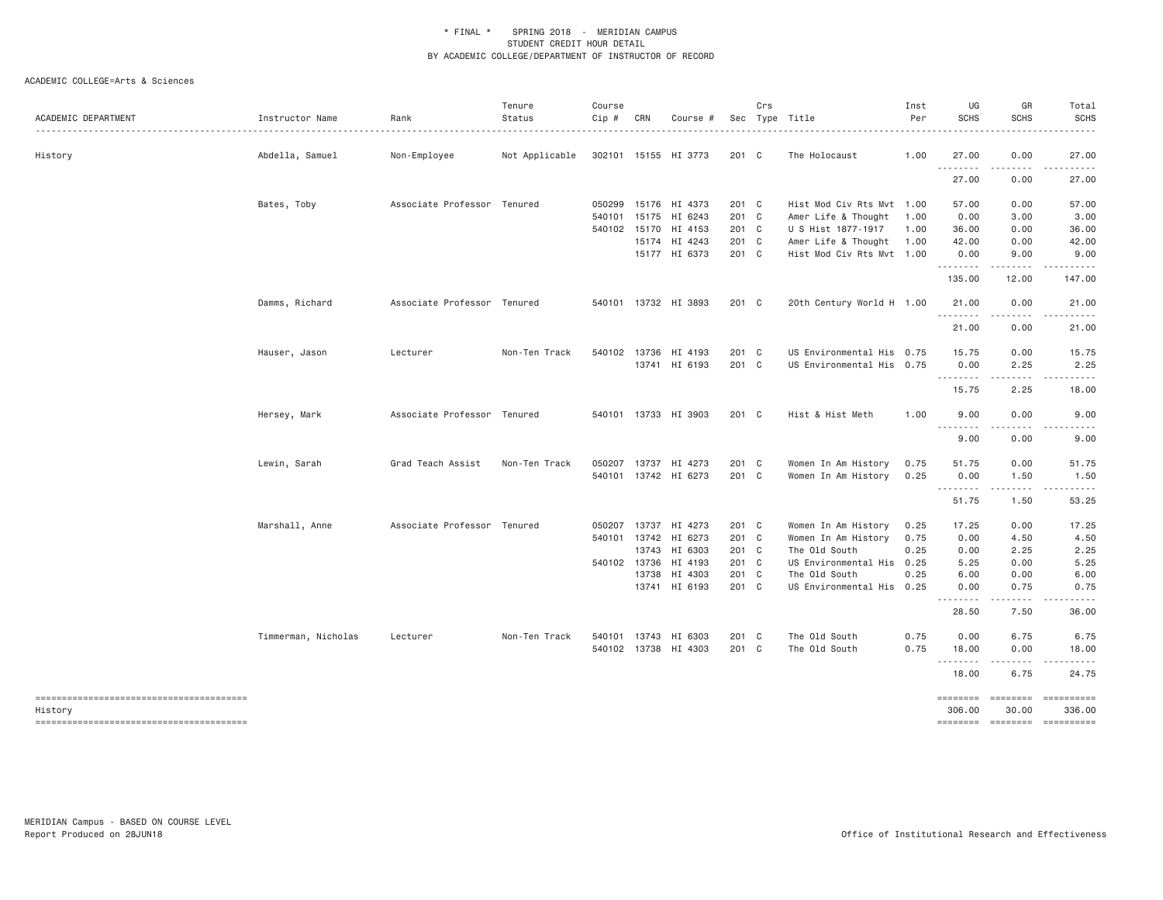| ACADEMIC DEPARTMENT | Instructor Name     | Rank                        | Tenure<br>Status | Course<br>Cip # | CRN | Course #             |       | Crs | Sec Type Title            | Inst<br>Per | UG<br><b>SCHS</b> | GR<br><b>SCHS</b> | Total<br><b>SCHS</b>                                                                                                                                                                                                                                                                                                                                                                                                                                                                 |
|---------------------|---------------------|-----------------------------|------------------|-----------------|-----|----------------------|-------|-----|---------------------------|-------------|-------------------|-------------------|--------------------------------------------------------------------------------------------------------------------------------------------------------------------------------------------------------------------------------------------------------------------------------------------------------------------------------------------------------------------------------------------------------------------------------------------------------------------------------------|
| History             | Abdella, Samuel     | Non-Employee                | Not Applicable   |                 |     | 302101 15155 HI 3773 | 201 C |     | The Holocaust             | 1.00        | 27.00             | 0.00              | 27.00                                                                                                                                                                                                                                                                                                                                                                                                                                                                                |
|                     |                     |                             |                  |                 |     |                      |       |     |                           |             | .<br>27.00        | 0.00              | 27.00                                                                                                                                                                                                                                                                                                                                                                                                                                                                                |
|                     | Bates, Toby         | Associate Professor Tenured |                  | 050299          |     | 15176 HI 4373        | 201 C |     | Hist Mod Civ Rts Mvt 1.00 |             | 57.00             | 0.00              | 57.00                                                                                                                                                                                                                                                                                                                                                                                                                                                                                |
|                     |                     |                             |                  | 540101          |     | 15175 HI 6243        | 201 C |     | Amer Life & Thought       | 1.00        | 0.00              | 3.00              | 3.00                                                                                                                                                                                                                                                                                                                                                                                                                                                                                 |
|                     |                     |                             |                  |                 |     | 540102 15170 HI 4153 | 201 C |     | U S Hist 1877-1917        | 1.00        | 36.00             | 0.00              | 36.00                                                                                                                                                                                                                                                                                                                                                                                                                                                                                |
|                     |                     |                             |                  |                 |     | 15174 HI 4243        | 201 C |     | Amer Life & Thought       | 1.00        | 42.00             | 0.00              | 42.00                                                                                                                                                                                                                                                                                                                                                                                                                                                                                |
|                     |                     |                             |                  |                 |     | 15177 HI 6373        | 201 C |     | Hist Mod Civ Rts Mvt 1.00 |             | 0.00<br>.         | 9.00<br>.         | 9.00<br><u>.</u>                                                                                                                                                                                                                                                                                                                                                                                                                                                                     |
|                     |                     |                             |                  |                 |     |                      |       |     |                           |             | 135.00            | 12.00             | 147.00                                                                                                                                                                                                                                                                                                                                                                                                                                                                               |
|                     | Damms, Richard      | Associate Professor Tenured |                  |                 |     | 540101 13732 HI 3893 | 201 C |     | 20th Century World H 1.00 |             | 21.00<br><u>.</u> | 0.00<br>.         | 21.00<br>.                                                                                                                                                                                                                                                                                                                                                                                                                                                                           |
|                     |                     |                             |                  |                 |     |                      |       |     |                           |             | 21.00             | 0.00              | 21.00                                                                                                                                                                                                                                                                                                                                                                                                                                                                                |
|                     | Hauser, Jason       | Lecturer                    | Non-Ten Track    | 540102          |     | 13736 HI 4193        | 201 C |     | US Environmental His 0.75 |             | 15.75             | 0.00              | 15.75                                                                                                                                                                                                                                                                                                                                                                                                                                                                                |
|                     |                     |                             |                  |                 |     | 13741 HI 6193        | 201 C |     | US Environmental His 0.75 |             | 0.00              | 2.25              | 2.25                                                                                                                                                                                                                                                                                                                                                                                                                                                                                 |
|                     |                     |                             |                  |                 |     |                      |       |     |                           |             | 15.75             | 2.25              | 18.00                                                                                                                                                                                                                                                                                                                                                                                                                                                                                |
|                     | Hersey, Mark        | Associate Professor Tenured |                  |                 |     | 540101 13733 HI 3903 | 201 C |     | Hist & Hist Meth          | 1.00        | 9.00<br><u>.</u>  | 0.00              | 9.00                                                                                                                                                                                                                                                                                                                                                                                                                                                                                 |
|                     |                     |                             |                  |                 |     |                      |       |     |                           |             | 9.00              | 0.00              | 9.00                                                                                                                                                                                                                                                                                                                                                                                                                                                                                 |
|                     | Lewin, Sarah        | Grad Teach Assist           | Non-Ten Track    | 050207          |     | 13737 HI 4273        | 201 C |     | Women In Am History       | 0.75        | 51.75             | 0.00              | 51.75                                                                                                                                                                                                                                                                                                                                                                                                                                                                                |
|                     |                     |                             |                  |                 |     | 540101 13742 HI 6273 | 201 C |     | Women In Am History       | 0.25        | 0.00              | 1.50              | 1.50                                                                                                                                                                                                                                                                                                                                                                                                                                                                                 |
|                     |                     |                             |                  |                 |     |                      |       |     |                           |             | .<br>51.75        | .<br>1.50         | .<br>53.25                                                                                                                                                                                                                                                                                                                                                                                                                                                                           |
|                     | Marshall, Anne      | Associate Professor Tenured |                  | 050207          |     | 13737 HI 4273        | 201 C |     | Women In Am History       | 0.25        | 17.25             | 0.00              | 17.25                                                                                                                                                                                                                                                                                                                                                                                                                                                                                |
|                     |                     |                             |                  |                 |     | 540101 13742 HI 6273 | 201 C |     | Women In Am History       | 0.75        | 0.00              | 4.50              | 4.50                                                                                                                                                                                                                                                                                                                                                                                                                                                                                 |
|                     |                     |                             |                  |                 |     | 13743 HI 6303        | 201 C |     | The Old South             | 0.25        | 0.00              | 2.25              | 2.25                                                                                                                                                                                                                                                                                                                                                                                                                                                                                 |
|                     |                     |                             |                  |                 |     | 540102 13736 HI 4193 | 201 C |     | US Environmental His 0.25 |             | 5.25              | 0.00              | 5.25                                                                                                                                                                                                                                                                                                                                                                                                                                                                                 |
|                     |                     |                             |                  |                 |     | 13738 HI 4303        | 201 C |     | The Old South             | 0.25        | 6.00              | 0.00              | 6.00                                                                                                                                                                                                                                                                                                                                                                                                                                                                                 |
|                     |                     |                             |                  |                 |     | 13741 HI 6193        | 201 C |     | US Environmental His 0.25 |             | 0.00<br>.         | 0.75<br>.         | 0.75<br>. <u>.</u> .                                                                                                                                                                                                                                                                                                                                                                                                                                                                 |
|                     |                     |                             |                  |                 |     |                      |       |     |                           |             | 28.50             | 7.50              | 36.00                                                                                                                                                                                                                                                                                                                                                                                                                                                                                |
|                     | Timmerman, Nicholas | Lecturer                    | Non-Ten Track    | 540101          |     | 13743 HI 6303        | 201 C |     | The Old South             | 0.75        | 0.00              | 6.75              | 6.75                                                                                                                                                                                                                                                                                                                                                                                                                                                                                 |
|                     |                     |                             |                  |                 |     | 540102 13738 HI 4303 | 201 C |     | The Old South             | 0.75        | 18.00<br><u>.</u> | 0.00              | 18.00                                                                                                                                                                                                                                                                                                                                                                                                                                                                                |
|                     |                     |                             |                  |                 |     |                      |       |     |                           |             | 18.00             | 6.75              | 24.75                                                                                                                                                                                                                                                                                                                                                                                                                                                                                |
|                     |                     |                             |                  |                 |     |                      |       |     |                           |             | ========          | <b>EEEEEEE</b>    | $\begin{array}{c} \multicolumn{3}{c}{}\\ \multicolumn{3}{c}{}\\ \multicolumn{3}{c}{}\\ \multicolumn{3}{c}{}\\ \multicolumn{3}{c}{}\\ \multicolumn{3}{c}{}\\ \multicolumn{3}{c}{}\\ \multicolumn{3}{c}{}\\ \multicolumn{3}{c}{}\\ \multicolumn{3}{c}{}\\ \multicolumn{3}{c}{}\\ \multicolumn{3}{c}{}\\ \multicolumn{3}{c}{}\\ \multicolumn{3}{c}{}\\ \multicolumn{3}{c}{}\\ \multicolumn{3}{c}{}\\ \multicolumn{3}{c}{}\\ \multicolumn{3}{c}{}\\ \multicolumn{3}{c}{}\\ \multicolumn$ |
| History             |                     |                             |                  |                 |     |                      |       |     |                           |             | 306.00            | 30.00             | 336.00<br>-------- ------- ---------                                                                                                                                                                                                                                                                                                                                                                                                                                                 |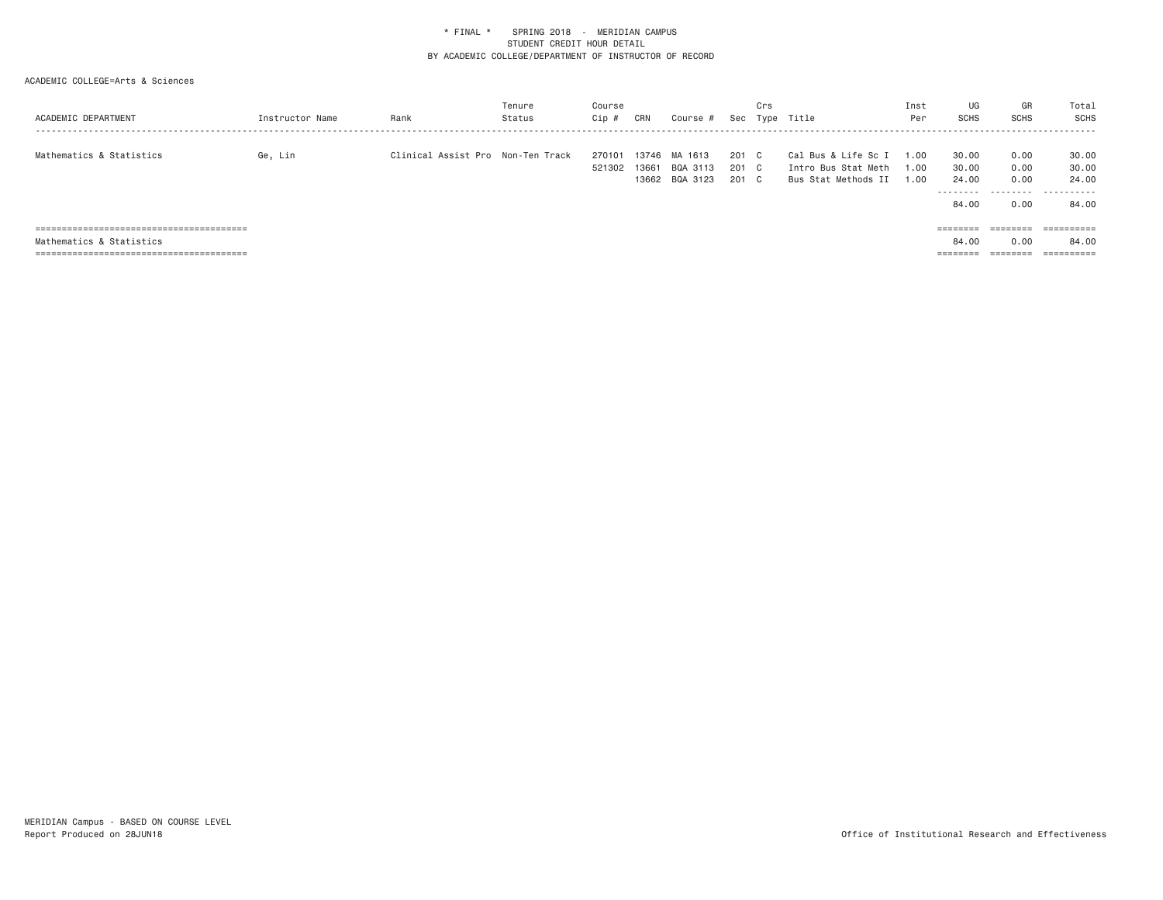| ACADEMIC DEPARTMENT      | Instructor Name | Rank                              | Tenure<br>Status | Course<br>Cip #  | CRN            | Course #                              |                         | Crs | Sec Type Title                                                    | Inst<br>Per          | UG<br><b>SCHS</b>                             | GR<br>SCHS                        | Total<br>SCHS                         |
|--------------------------|-----------------|-----------------------------------|------------------|------------------|----------------|---------------------------------------|-------------------------|-----|-------------------------------------------------------------------|----------------------|-----------------------------------------------|-----------------------------------|---------------------------------------|
| Mathematics & Statistics | Ge, Lin         | Clinical Assist Pro Non-Ten Track |                  | 270101<br>521302 | 13746<br>13661 | MA 1613<br>BQA 3113<br>13662 BQA 3123 | 201 C<br>201 C<br>201 C |     | Cal Bus & Life Sc I<br>Intro Bus Stat Meth<br>Bus Stat Methods II | 1.00<br>1.00<br>00.1 | 30.00<br>30.00<br>24,00<br>---------<br>84.00 | 0.00<br>0.00<br>0.00<br>.<br>0.00 | 30.00<br>30.00<br>24.00<br>.<br>84.00 |
|                          |                 |                                   |                  |                  |                |                                       |                         |     |                                                                   |                      | ========                                      | $=$ = = = = = = =                 |                                       |
| Mathematics & Statistics |                 |                                   |                  |                  |                |                                       |                         |     |                                                                   |                      | 84.00                                         | 0.00                              | 84.00                                 |
|                          |                 |                                   |                  |                  |                |                                       |                         |     |                                                                   |                      | ========                                      | ========                          | ==========                            |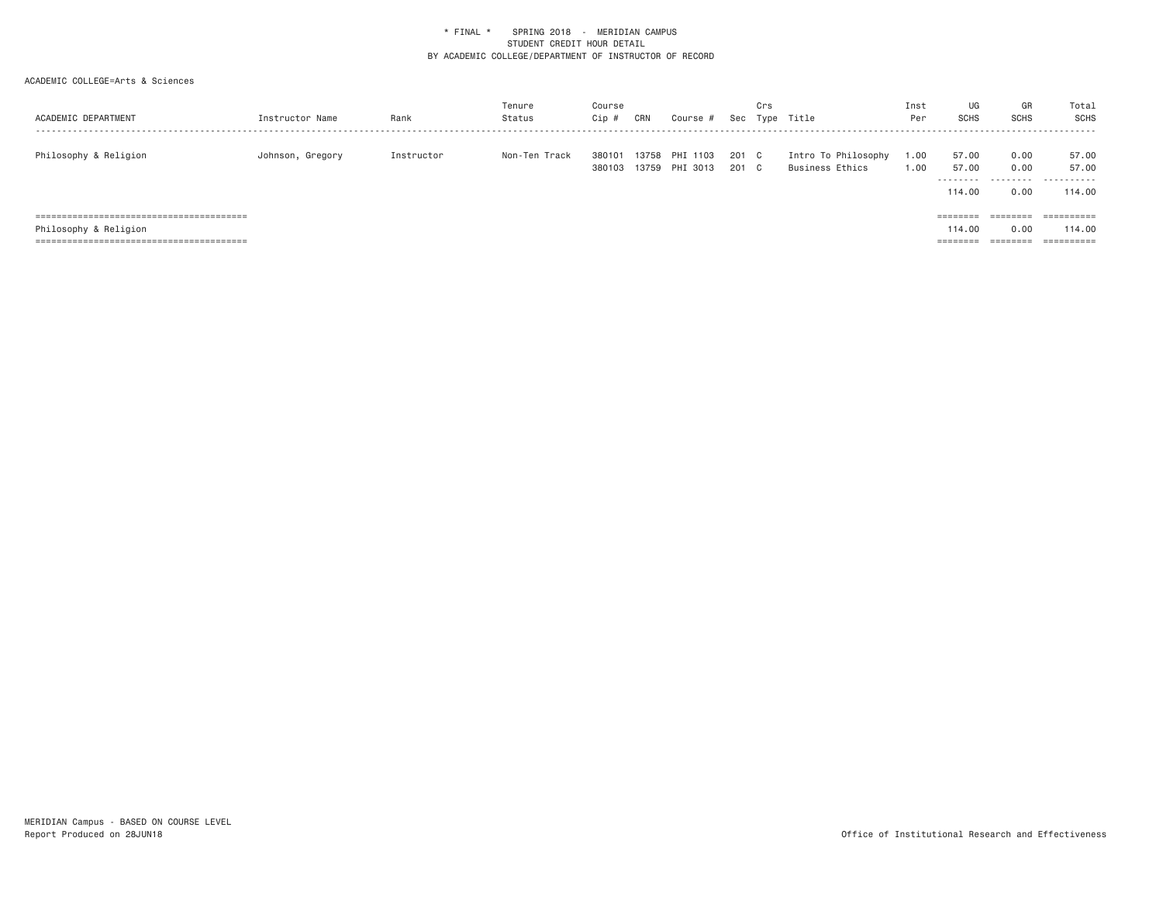| ACADEMIC DEPARTMENT   | Instructor Name  | Rank       | Tenure<br>Status | Course<br>Cip #  | CRN            | Course #             | Sec            | Crs | Type Title                             | Inst<br>Per  | UG<br><b>SCHS</b>                     | GR<br>SCHS                | Total<br>SCHS                              |
|-----------------------|------------------|------------|------------------|------------------|----------------|----------------------|----------------|-----|----------------------------------------|--------------|---------------------------------------|---------------------------|--------------------------------------------|
| Philosophy & Religion | Johnson, Gregory | Instructor | Non-Ten Track    | 380101<br>380103 | 13758<br>13759 | PHI 1103<br>PHI 3013 | 201 C<br>201 C |     | Intro To Philosophy<br>Business Ethics | 1.00<br>1.00 | 57.00<br>57.00<br>---------<br>114,00 | 0.00<br>0.00<br>.<br>0.00 | 57.00<br>57.00<br>-------<br>---<br>114.00 |
|                       |                  |            |                  |                  |                |                      |                |     |                                        |              | ========                              | ========                  | ==========                                 |
| Philosophy & Religion |                  |            |                  |                  |                |                      |                |     |                                        |              | 114,00                                | 0.00                      | 114.00                                     |
|                       |                  |            |                  |                  |                |                      |                |     |                                        |              | ========                              |                           | $= 22222222222$                            |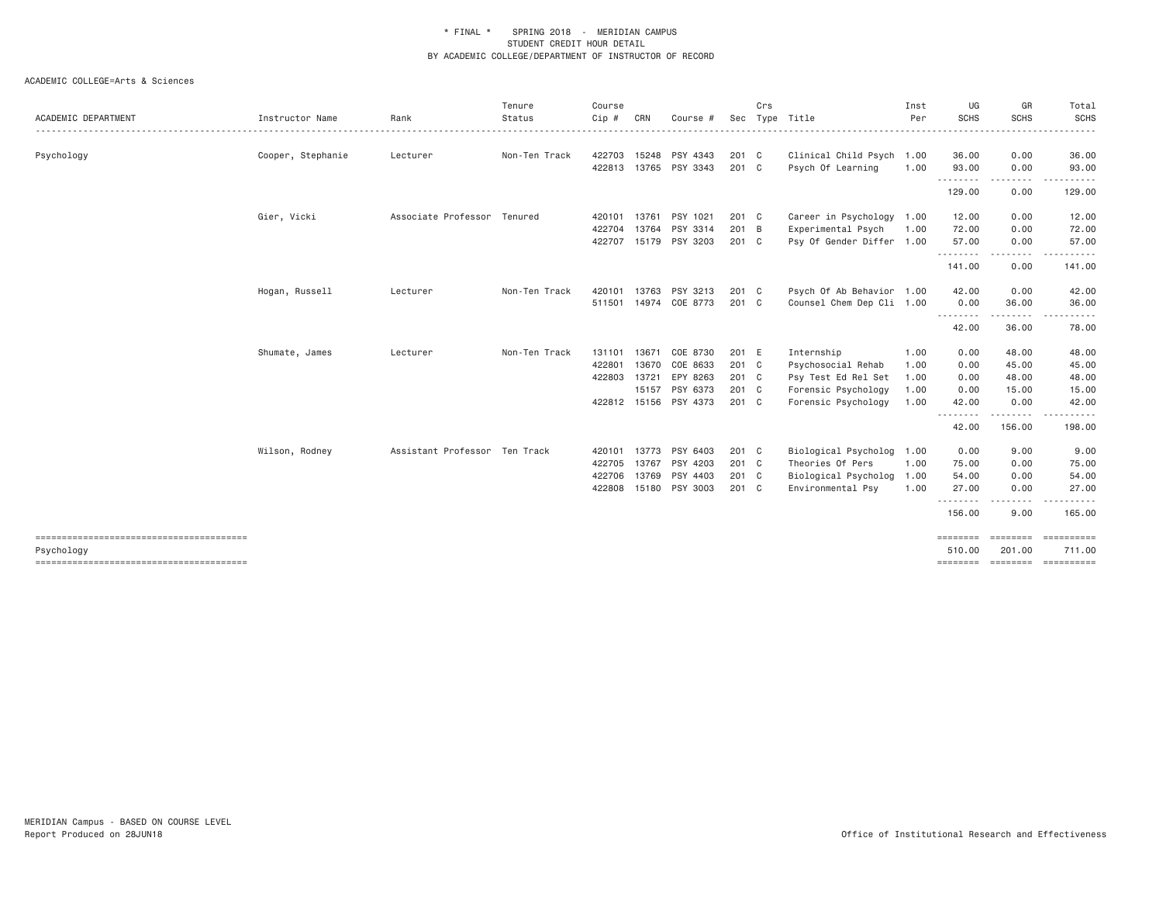| ACADEMIC DEPARTMENT | Instructor Name   | Rank                          | Tenure<br>Status | Course<br>Cip # | CRN   | Course #       | Sec   | Crs | Type Title                | Inst<br>Per | UG<br><b>SCHS</b>  | GR<br><b>SCHS</b>     | Total<br><b>SCHS</b>  |
|---------------------|-------------------|-------------------------------|------------------|-----------------|-------|----------------|-------|-----|---------------------------|-------------|--------------------|-----------------------|-----------------------|
| Psychology          | Cooper, Stephanie | Lecturer                      | Non-Ten Track    | 422703          |       | 15248 PSY 4343 | 201 C |     | Clinical Child Psych 1.00 |             | 36.00              | 0.00                  | 36.00                 |
|                     |                   |                               |                  | 422813          |       | 13765 PSY 3343 | 201 C |     | Psych Of Learning         | 1.00        | 93.00<br>.         | 0.00<br>$\frac{1}{2}$ | 93.00<br>. <u>.</u> . |
|                     |                   |                               |                  |                 |       |                |       |     |                           |             | 129.00             | 0.00                  | 129.00                |
|                     | Gier, Vicki       | Associate Professor Tenured   |                  | 420101          | 13761 | PSY 1021       | 201 C |     | Career in Psychology 1.00 |             | 12.00              | 0.00                  | 12.00                 |
|                     |                   |                               |                  | 422704          | 13764 | PSY 3314       | 201 B |     | Experimental Psych        | 1.00        | 72.00              | 0.00                  | 72.00                 |
|                     |                   |                               |                  | 422707          |       | 15179 PSY 3203 | 201 C |     | Psy Of Gender Differ 1.00 |             | 57.00<br>.         | 0.00<br>.             | 57.00                 |
|                     |                   |                               |                  |                 |       |                |       |     |                           |             | 141.00             | 0.00                  | 141.00                |
|                     | Hogan, Russell    | Lecturer                      | Non-Ten Track    | 420101          | 13763 | PSY 3213       | 201 C |     | Psych Of Ab Behavior 1.00 |             | 42.00              | 0.00                  | 42.00                 |
|                     |                   |                               |                  | 511501          |       | 14974 COE 8773 | 201 C |     | Counsel Chem Dep Cli 1.00 |             | 0.00               | 36.00                 | 36.00                 |
|                     |                   |                               |                  |                 |       |                |       |     |                           |             | ---------<br>42.00 | ------<br>36.00       | 78.00                 |
|                     | Shumate, James    | Lecturer                      | Non-Ten Track    | 131101          | 13671 | COE 8730       | 201 E |     | Internship                | 1.00        | 0.00               | 48.00                 | 48.00                 |
|                     |                   |                               |                  | 422801          |       | 13670 COE 8633 | 201 C |     | Psychosocial Rehab        | 1.00        | 0.00               | 45.00                 | 45.00                 |
|                     |                   |                               |                  | 422803          | 13721 | EPY 8263       | 201 C |     | Psy Test Ed Rel Set       | 1.00        | 0.00               | 48.00                 | 48.00                 |
|                     |                   |                               |                  |                 |       | 15157 PSY 6373 | 201 C |     | Forensic Psychology       | 1.00        | 0.00               | 15.00                 | 15.00                 |
|                     |                   |                               |                  | 422812          |       | 15156 PSY 4373 | 201 C |     | Forensic Psychology       | 1.00        | 42.00<br>.         | 0.00<br>.             | 42.00<br><u>.</u>     |
|                     |                   |                               |                  |                 |       |                |       |     |                           |             | 42.00              | 156.00                | 198.00                |
|                     | Wilson, Rodney    | Assistant Professor Ten Track |                  | 420101          |       | 13773 PSY 6403 | 201 C |     | Biological Psycholog      | 1.00        | 0.00               | 9.00                  | 9.00                  |
|                     |                   |                               |                  | 422705          |       | 13767 PSY 4203 | 201 C |     | Theories Of Pers          | 1.00        | 75.00              | 0.00                  | 75.00                 |
|                     |                   |                               |                  | 422706          |       | 13769 PSY 4403 | 201 C |     | Biological Psycholog      | 1.00        | 54.00              | 0.00                  | 54.00                 |
|                     |                   |                               |                  | 422808          |       | 15180 PSY 3003 | 201 C |     | Environmental Psy         | 1.00        | 27.00              | 0.00                  | 27.00                 |
|                     |                   |                               |                  |                 |       |                |       |     |                           |             | .<br>156.00        | .<br>9.00             | 165.00                |
|                     |                   |                               |                  |                 |       |                |       |     |                           |             | ========           | ========              | ==========            |
| Psychology          |                   |                               |                  |                 |       |                |       |     |                           |             | 510.00             | 201.00                | 711.00                |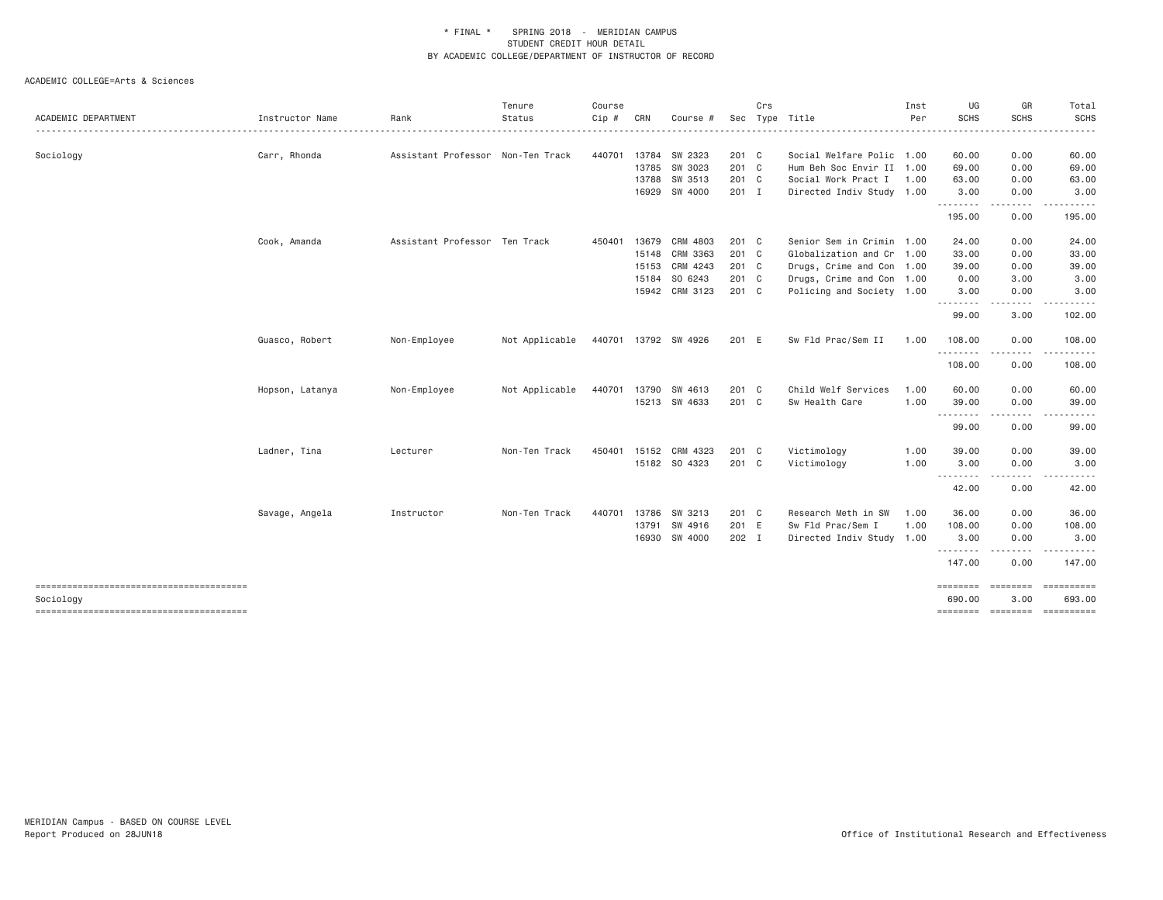|                     |                 |                                   | Tenure         | Course |                |                      |                | Crs |                                                        | Inst | UG                                 | GR                                                                                                                                | Total                                                                                                                                                                                                                                                                                                                                                                                                                                                                                  |
|---------------------|-----------------|-----------------------------------|----------------|--------|----------------|----------------------|----------------|-----|--------------------------------------------------------|------|------------------------------------|-----------------------------------------------------------------------------------------------------------------------------------|----------------------------------------------------------------------------------------------------------------------------------------------------------------------------------------------------------------------------------------------------------------------------------------------------------------------------------------------------------------------------------------------------------------------------------------------------------------------------------------|
| ACADEMIC DEPARTMENT | Instructor Name | Rank                              | Status         | Cip #  | CRN            | Course #             |                |     | Sec Type Title                                         | Per  | <b>SCHS</b>                        | <b>SCHS</b>                                                                                                                       | <b>SCHS</b>                                                                                                                                                                                                                                                                                                                                                                                                                                                                            |
|                     |                 |                                   |                |        |                |                      |                |     |                                                        |      |                                    |                                                                                                                                   |                                                                                                                                                                                                                                                                                                                                                                                                                                                                                        |
| Sociology           | Carr, Rhonda    | Assistant Professor Non-Ten Track |                | 440701 | 13784<br>13785 | SW 2323<br>SW 3023   | 201 C<br>201 C |     | Social Welfare Polic 1.00<br>Hum Beh Soc Envir II 1.00 |      | 60.00                              | 0.00<br>0.00                                                                                                                      | 60.00                                                                                                                                                                                                                                                                                                                                                                                                                                                                                  |
|                     |                 |                                   |                |        |                | 13788 SW 3513        | 201 C          |     | Social Work Pract I 1.00                               |      | 69.00<br>63.00                     | 0.00                                                                                                                              | 69.00<br>63.00                                                                                                                                                                                                                                                                                                                                                                                                                                                                         |
|                     |                 |                                   |                |        |                | 16929 SW 4000        | 201 I          |     | Directed Indiv Study 1.00                              |      | 3.00                               | 0.00                                                                                                                              | 3.00                                                                                                                                                                                                                                                                                                                                                                                                                                                                                   |
|                     |                 |                                   |                |        |                |                      |                |     |                                                        |      | - - - - - - - - <b>-</b><br>195.00 | .<br>0.00                                                                                                                         | <u>.</u><br>195.00                                                                                                                                                                                                                                                                                                                                                                                                                                                                     |
|                     | Cook, Amanda    | Assistant Professor Ten Track     |                | 450401 | 13679          | CRM 4803             | 201 C          |     | Senior Sem in Crimin 1.00                              |      | 24.00                              | 0.00                                                                                                                              | 24.00                                                                                                                                                                                                                                                                                                                                                                                                                                                                                  |
|                     |                 |                                   |                |        | 15148          | CRM 3363             | 201 C          |     | Globalization and Cr 1.00                              |      | 33.00                              | 0.00                                                                                                                              | 33.00                                                                                                                                                                                                                                                                                                                                                                                                                                                                                  |
|                     |                 |                                   |                |        | 15153          | CRM 4243             | 201 C          |     | Drugs, Crime and Con 1.00                              |      | 39.00                              | 0.00                                                                                                                              | 39.00                                                                                                                                                                                                                                                                                                                                                                                                                                                                                  |
|                     |                 |                                   |                |        |                | 15184 SO 6243        | 201 C          |     | Drugs, Crime and Con 1.00                              |      | 0.00                               | 3.00                                                                                                                              | 3.00                                                                                                                                                                                                                                                                                                                                                                                                                                                                                   |
|                     |                 |                                   |                |        |                | 15942 CRM 3123       | 201 C          |     | Policing and Society 1.00                              |      | 3.00                               | 0.00                                                                                                                              | 3.00                                                                                                                                                                                                                                                                                                                                                                                                                                                                                   |
|                     |                 |                                   |                |        |                |                      |                |     |                                                        |      | 99.00                              | 3.00                                                                                                                              | 102.00                                                                                                                                                                                                                                                                                                                                                                                                                                                                                 |
|                     | Guasco, Robert  | Non-Employee                      | Not Applicable |        |                | 440701 13792 SW 4926 | 201 E          |     | Sw Fld Prac/Sem II                                     | 1.00 | 108.00                             | 0.00                                                                                                                              | 108.00                                                                                                                                                                                                                                                                                                                                                                                                                                                                                 |
|                     |                 |                                   |                |        |                |                      |                |     |                                                        |      | .<br>108.00                        | --------<br>0.00                                                                                                                  | .<br>108.00                                                                                                                                                                                                                                                                                                                                                                                                                                                                            |
|                     | Hopson, Latanya | Non-Employee                      | Not Applicable | 440701 |                | 13790 SW 4613        | 201 C          |     | Child Welf Services                                    | 1.00 | 60.00                              | 0.00                                                                                                                              | 60.00                                                                                                                                                                                                                                                                                                                                                                                                                                                                                  |
|                     |                 |                                   |                |        |                | 15213 SW 4633        | 201 C          |     | Sw Health Care                                         | 1.00 | 39.00                              | 0.00                                                                                                                              | 39.00                                                                                                                                                                                                                                                                                                                                                                                                                                                                                  |
|                     |                 |                                   |                |        |                |                      |                |     |                                                        |      | .<br>99.00                         | 0.00                                                                                                                              | 99.00                                                                                                                                                                                                                                                                                                                                                                                                                                                                                  |
|                     | Ladner, Tina    | Lecturer                          | Non-Ten Track  | 450401 |                | 15152 CRM 4323       | 201 C          |     | Victimology                                            | 1.00 | 39.00                              | 0.00                                                                                                                              | 39.00                                                                                                                                                                                                                                                                                                                                                                                                                                                                                  |
|                     |                 |                                   |                |        |                | 15182 SO 4323        | 201 C          |     | Victimology                                            | 1.00 | 3.00                               | 0.00                                                                                                                              | 3.00                                                                                                                                                                                                                                                                                                                                                                                                                                                                                   |
|                     |                 |                                   |                |        |                |                      |                |     |                                                        |      | - - - - - - - - <b>-</b><br>42.00  | .<br>0.00                                                                                                                         | $\cdots$<br>42.00                                                                                                                                                                                                                                                                                                                                                                                                                                                                      |
|                     | Savage, Angela  | Instructor                        | Non-Ten Track  | 440701 | 13786          | SW 3213              | 201 C          |     | Research Meth in SW                                    | 1.00 | 36.00                              | 0.00                                                                                                                              | 36.00                                                                                                                                                                                                                                                                                                                                                                                                                                                                                  |
|                     |                 |                                   |                |        | 13791          | SW 4916              | 201 E          |     | Sw Fld Prac/Sem I                                      | 1.00 | 108.00                             | 0.00                                                                                                                              | 108.00                                                                                                                                                                                                                                                                                                                                                                                                                                                                                 |
|                     |                 |                                   |                |        |                | 16930 SW 4000        | 202 I          |     | Directed Indiv Study 1.00                              |      | 3.00                               | 0.00                                                                                                                              | 3.00                                                                                                                                                                                                                                                                                                                                                                                                                                                                                   |
|                     |                 |                                   |                |        |                |                      |                |     |                                                        |      | .<br>147.00                        | $\frac{1}{2} \left( \frac{1}{2} \right) \left( \frac{1}{2} \right) \left( \frac{1}{2} \right) \left( \frac{1}{2} \right)$<br>0.00 | .<br>147.00                                                                                                                                                                                                                                                                                                                                                                                                                                                                            |
|                     |                 |                                   |                |        |                |                      |                |     |                                                        |      | ========                           | <b>EEEEEEE</b>                                                                                                                    | $\begin{array}{cccccccccc} \multicolumn{2}{c}{} & \multicolumn{2}{c}{} & \multicolumn{2}{c}{} & \multicolumn{2}{c}{} & \multicolumn{2}{c}{} & \multicolumn{2}{c}{} & \multicolumn{2}{c}{} & \multicolumn{2}{c}{} & \multicolumn{2}{c}{} & \multicolumn{2}{c}{} & \multicolumn{2}{c}{} & \multicolumn{2}{c}{} & \multicolumn{2}{c}{} & \multicolumn{2}{c}{} & \multicolumn{2}{c}{} & \multicolumn{2}{c}{} & \multicolumn{2}{c}{} & \multicolumn{2}{c}{} & \multicolumn{2}{c}{} & \mult$ |
| Sociology           |                 |                                   |                |        |                |                      |                |     |                                                        |      | 690,00                             | 3.00                                                                                                                              | 693,00                                                                                                                                                                                                                                                                                                                                                                                                                                                                                 |
|                     |                 |                                   |                |        |                |                      |                |     |                                                        |      |                                    |                                                                                                                                   |                                                                                                                                                                                                                                                                                                                                                                                                                                                                                        |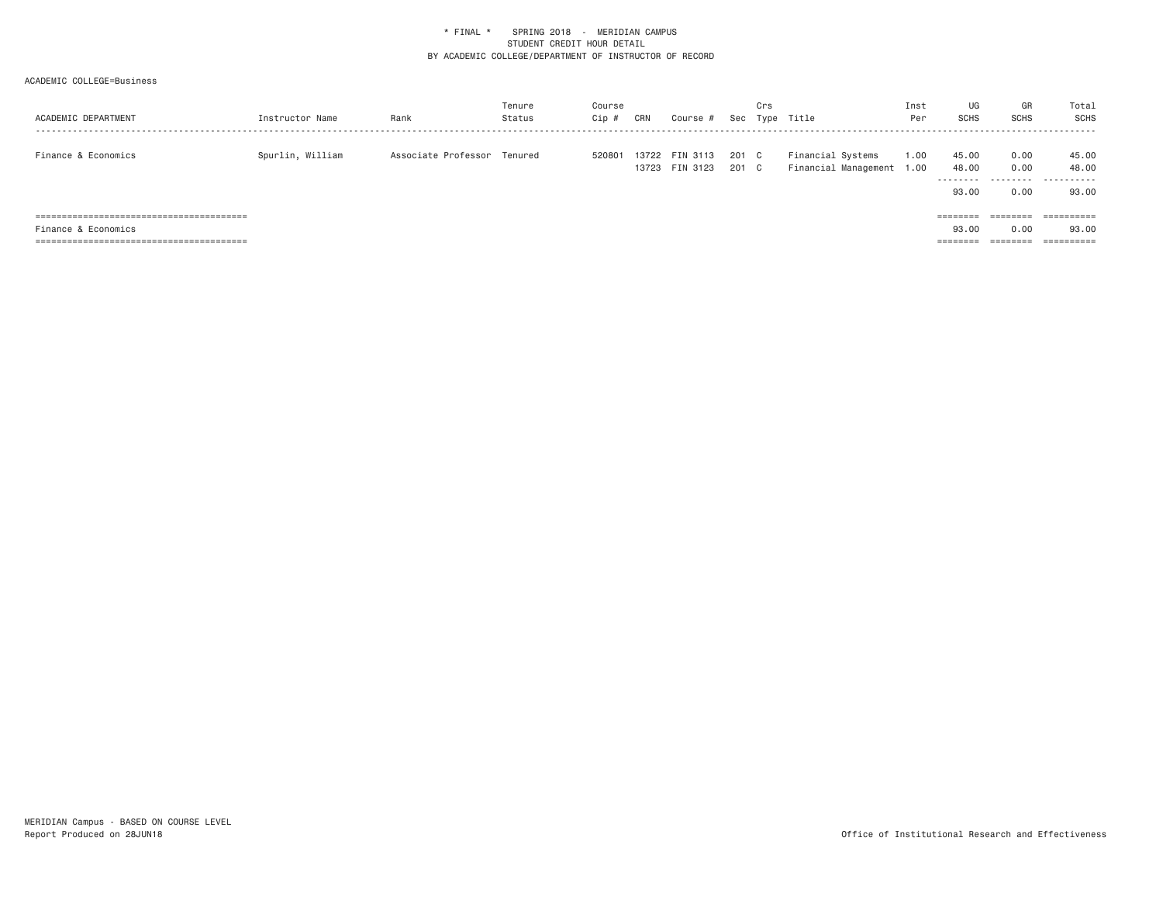| ACADEMIC DEPARTMENT | Instructor Name  | Rank                        | Tenure<br>Status | Course<br>Cip # | CRN | Course #                         |              | Crs            | Sec Type Title                                 | Inst<br>Per | UG<br><b>SCHS</b>            | GR<br>SCHS                | Total<br>SCHS                |
|---------------------|------------------|-----------------------------|------------------|-----------------|-----|----------------------------------|--------------|----------------|------------------------------------------------|-------------|------------------------------|---------------------------|------------------------------|
| Finance & Economics | Spurlin, William | Associate Professor Tenured |                  | 520801          |     | 13722 FIN 3113<br>13723 FIN 3123 | 201 C<br>201 | $\overline{c}$ | Financial Systems<br>Financial Management 1.00 | 1.00        | 45.00<br>48,00<br>.<br>93.00 | 0.00<br>0.00<br>.<br>0.00 | 45.00<br>48,00<br>.<br>93.00 |
|                     |                  |                             |                  |                 |     |                                  |              |                |                                                |             | --------<br>--------         | ========                  | ==========                   |
| Finance & Economics |                  |                             |                  |                 |     |                                  |              |                |                                                |             | 93,00                        | 0.00                      | 93.00                        |
|                     |                  |                             |                  |                 |     |                                  |              |                |                                                |             | ========                     |                           | ==========                   |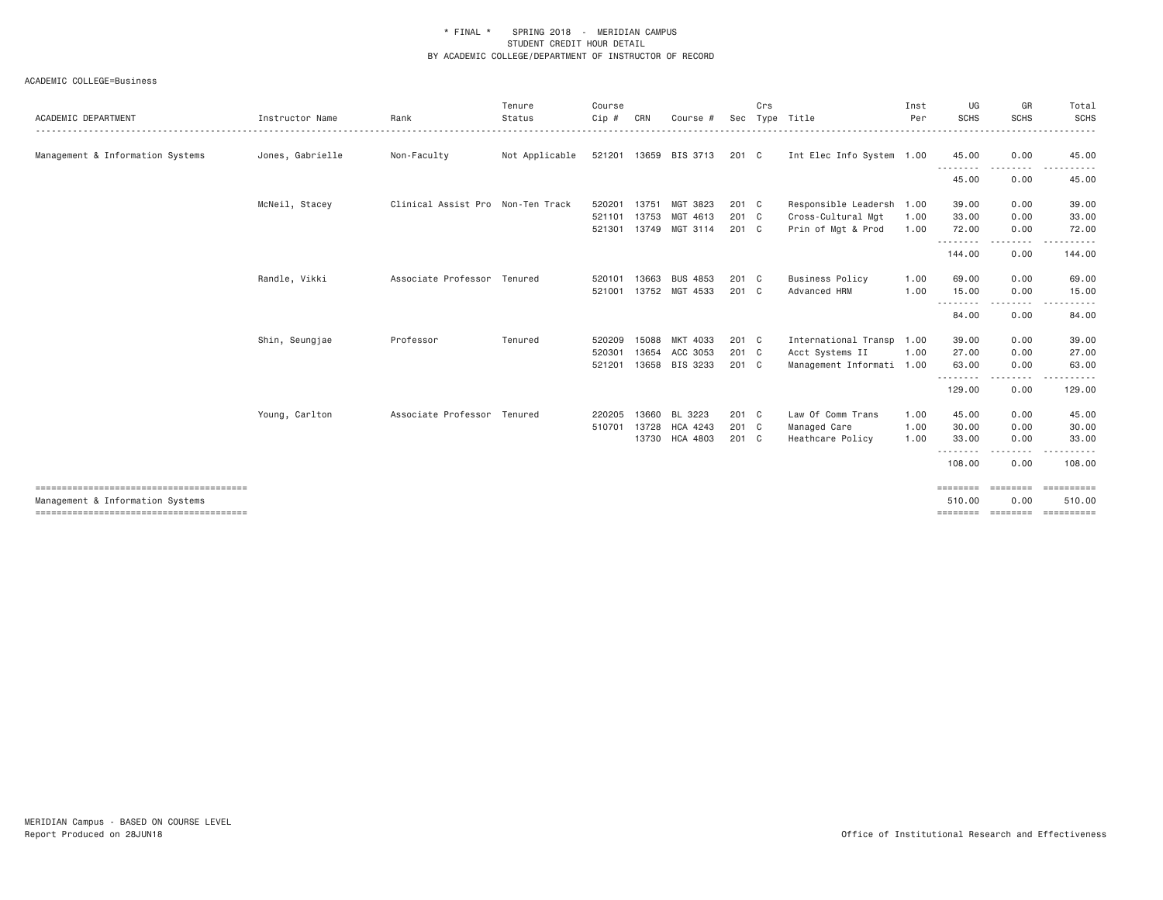| ACADEMIC DEPARTMENT              | Instructor Name  | Rank                              | Tenure<br>Status | Course<br>Cip #            | CRN            | Course #                               |                                         | Crs | Sec Type Title                                                            | Inst<br>Per          | UG<br><b>SCHS</b>                      | GR<br><b>SCHS</b>                                                                                                                                         | Total<br><b>SCHS</b>              |
|----------------------------------|------------------|-----------------------------------|------------------|----------------------------|----------------|----------------------------------------|-----------------------------------------|-----|---------------------------------------------------------------------------|----------------------|----------------------------------------|-----------------------------------------------------------------------------------------------------------------------------------------------------------|-----------------------------------|
| Management & Information Systems | Jones, Gabrielle | Non-Faculty                       | Not Applicable   | 521201                     |                | 13659 BIS 3713                         | 201 C                                   |     | Int Elec Info System 1.00                                                 |                      | 45.00<br>.                             | 0.00<br><u>.</u>                                                                                                                                          | 45.00                             |
|                                  |                  |                                   |                  |                            |                |                                        |                                         |     |                                                                           |                      | 45.00                                  | 0.00                                                                                                                                                      | 45.00                             |
|                                  | McNeil, Stacey   | Clinical Assist Pro Non-Ten Track |                  | 520201<br>521101           | 13751<br>13753 | MGT 3823<br>MGT 4613                   | $201 \quad C$<br>$201 \quad C$          |     | Responsible Leadersh 1.00<br>Cross-Cultural Mgt                           | 1.00                 | 39.00<br>33.00                         | 0.00<br>0.00                                                                                                                                              | 39.00<br>33.00                    |
|                                  |                  |                                   |                  | 521301                     |                | 13749 MGT 3114                         | $201 \quad C$                           |     | Prin of Mgt & Prod                                                        | 1.00                 | 72.00<br>.                             | 0.00<br>.                                                                                                                                                 | 72.00                             |
|                                  |                  |                                   |                  |                            |                |                                        |                                         |     |                                                                           |                      | 144.00                                 | 0.00                                                                                                                                                      | 144.00                            |
|                                  | Randle, Vikki    | Associate Professor Tenured       |                  | 520101<br>521001           | 13663<br>13752 | <b>BUS 4853</b><br>MGT 4533            | 201 C<br>201 C                          |     | <b>Business Policy</b><br>Advanced HRM                                    | 1.00<br>1.00         | 69.00<br>15.00                         | 0.00<br>0.00                                                                                                                                              | 69.00<br>15.00                    |
|                                  |                  |                                   |                  |                            |                |                                        |                                         |     |                                                                           |                      | .<br>84.00                             | .<br>0.00                                                                                                                                                 | . <u>.</u> .<br>84.00             |
|                                  | Shin, Seungjae   | Professor                         | Tenured          | 520209<br>520301<br>521201 | 15088<br>13654 | MKT 4033<br>ACC 3053<br>13658 BIS 3233 | 201 C<br>201 C<br>$201 \quad C$         |     | International Transp 1.00<br>Acct Systems II<br>Management Informati 1.00 | 1.00                 | 39.00<br>27.00<br>63.00<br>.           | 0.00<br>0.00<br>0.00<br>.                                                                                                                                 | 39.00<br>27.00<br>63.00<br>.      |
|                                  |                  |                                   |                  |                            |                |                                        |                                         |     |                                                                           |                      | 129.00                                 | 0.00                                                                                                                                                      | 129.00                            |
|                                  | Young, Carlton   | Associate Professor Tenured       |                  | 220205<br>510701           | 13660<br>13728 | BL 3223<br>HCA 4243<br>13730 HCA 4803  | $201 \quad C$<br>201 C<br>$201 \quad C$ |     | Law Of Comm Trans<br>Managed Care<br>Heathcare Policy                     | 1.00<br>1.00<br>1.00 | 45.00<br>30.00<br>33.00<br>.<br>108.00 | 0.00<br>0.00<br>0.00<br>$\frac{1}{2} \left( \frac{1}{2} \right) \left( \frac{1}{2} \right) \left( \frac{1}{2} \right) \left( \frac{1}{2} \right)$<br>0.00 | 45.00<br>30.00<br>33.00<br>108.00 |
| Management & Information Systems |                  |                                   |                  |                            |                |                                        |                                         |     |                                                                           |                      | ========<br>510.00                     | ========<br>0.00                                                                                                                                          | ==========<br>510.00              |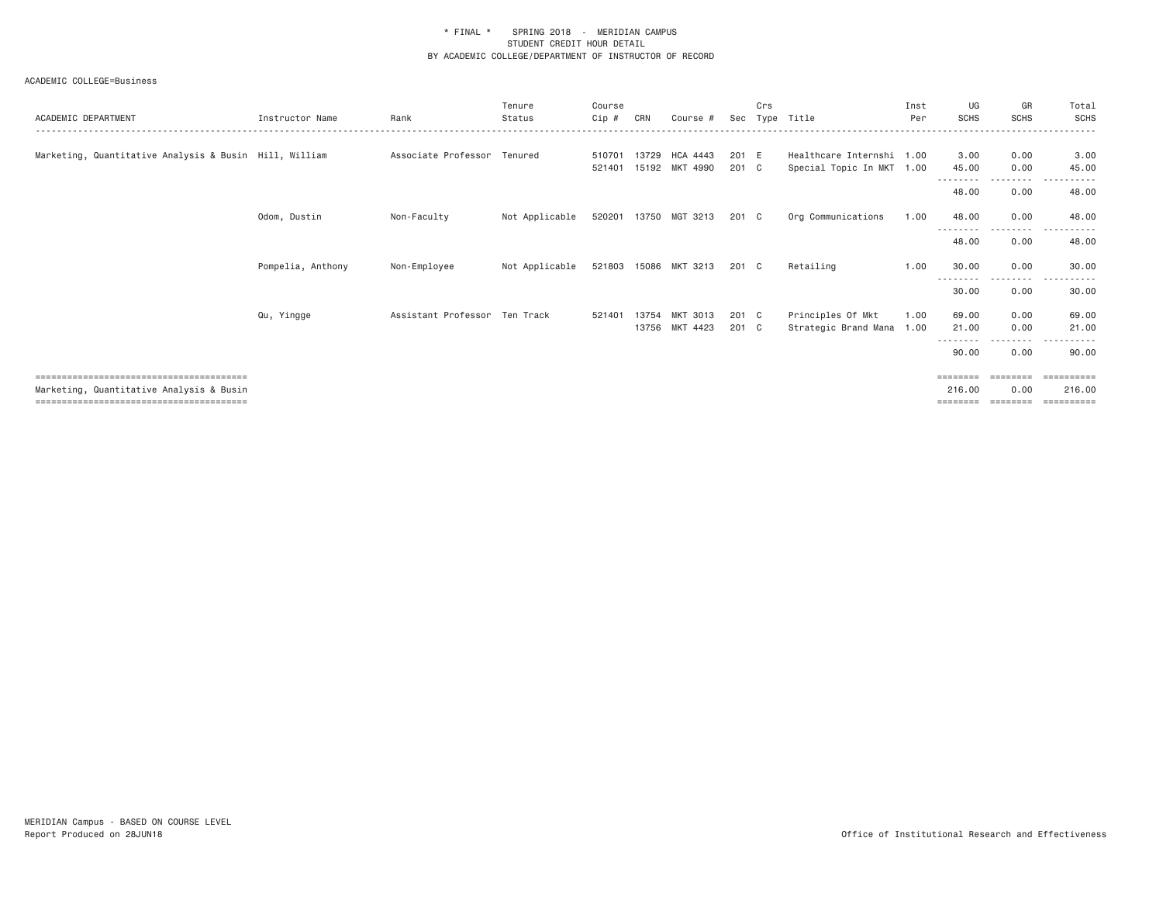| ACADEMIC DEPARTMENT                                    | Instructor Name   | Rank                          | Tenure<br>Status | Course<br>Cip # | CRN   | Course #                         | Sec            | Crs | Type Title                                     | Inst<br>Per | UG<br><b>SCHS</b>                 | GR<br>SCHS                          | Total<br><b>SCHS</b>                                                                                                                                                                     |
|--------------------------------------------------------|-------------------|-------------------------------|------------------|-----------------|-------|----------------------------------|----------------|-----|------------------------------------------------|-------------|-----------------------------------|-------------------------------------|------------------------------------------------------------------------------------------------------------------------------------------------------------------------------------------|
| Marketing, Quantitative Analysis & Busin Hill, William |                   | Associate Professor Tenured   |                  | 510701          | 13729 | <b>HCA 4443</b>                  | 201 E          |     | Healthcare Internshi 1.00                      |             | 3.00                              | 0.00                                | 3.00                                                                                                                                                                                     |
|                                                        |                   |                               |                  | 521401          |       | 15192 MKT 4990                   | 201 C          |     | Special Topic In MKT 1.00                      |             | 45.00<br>- - - - - - - -<br>48.00 | 0.00<br>- - - -<br>0.00             | 45.00<br>48.00                                                                                                                                                                           |
|                                                        | Odom, Dustin      | Non-Faculty                   | Not Applicable   | 520201          |       | 13750 MGT 3213                   | 201 C          |     | Org Communications                             | 1.00        | 48.00                             | 0.00                                | 48.00                                                                                                                                                                                    |
|                                                        |                   |                               |                  |                 |       |                                  |                |     |                                                |             | <u>.</u><br>48.00                 | <u>.</u><br>0.00                    | $\frac{1}{2} \left( \frac{1}{2} \right) \left( \frac{1}{2} \right) \left( \frac{1}{2} \right) \left( \frac{1}{2} \right) \left( \frac{1}{2} \right) \left( \frac{1}{2} \right)$<br>48.00 |
|                                                        | Pompelia, Anthony | Non-Employee                  | Not Applicable   | 521803          |       | 15086 MKT 3213                   | 201 C          |     | Retailing                                      | 1.00        | 30.00<br>.                        | 0.00<br>. <b>.</b> .                | 30.00                                                                                                                                                                                    |
|                                                        |                   |                               |                  |                 |       |                                  |                |     |                                                |             | 30.00                             | 0.00                                | 30.00                                                                                                                                                                                    |
|                                                        | Qu, Yingge        | Assistant Professor Ten Track |                  | 521401          |       | 13754 MKT 3013<br>13756 MKT 4423 | 201 C<br>201 C |     | Principles Of Mkt<br>Strategic Brand Mana 1.00 | 1.00        | 69,00<br>21.00                    | 0.00<br>0.00                        | 69.00<br>21.00                                                                                                                                                                           |
|                                                        |                   |                               |                  |                 |       |                                  |                |     |                                                |             | .<br>90.00                        | .<br>0.00                           | 90.00                                                                                                                                                                                    |
| Marketing, Quantitative Analysis & Busin               |                   |                               |                  |                 |       |                                  |                |     |                                                |             | $=$ = = = = = = =<br>216,00       | ========<br>0.00<br><b>BEBBEERS</b> | $=$ = = = = = = = = =<br>216,00<br>$=$ = = = = = = = = =                                                                                                                                 |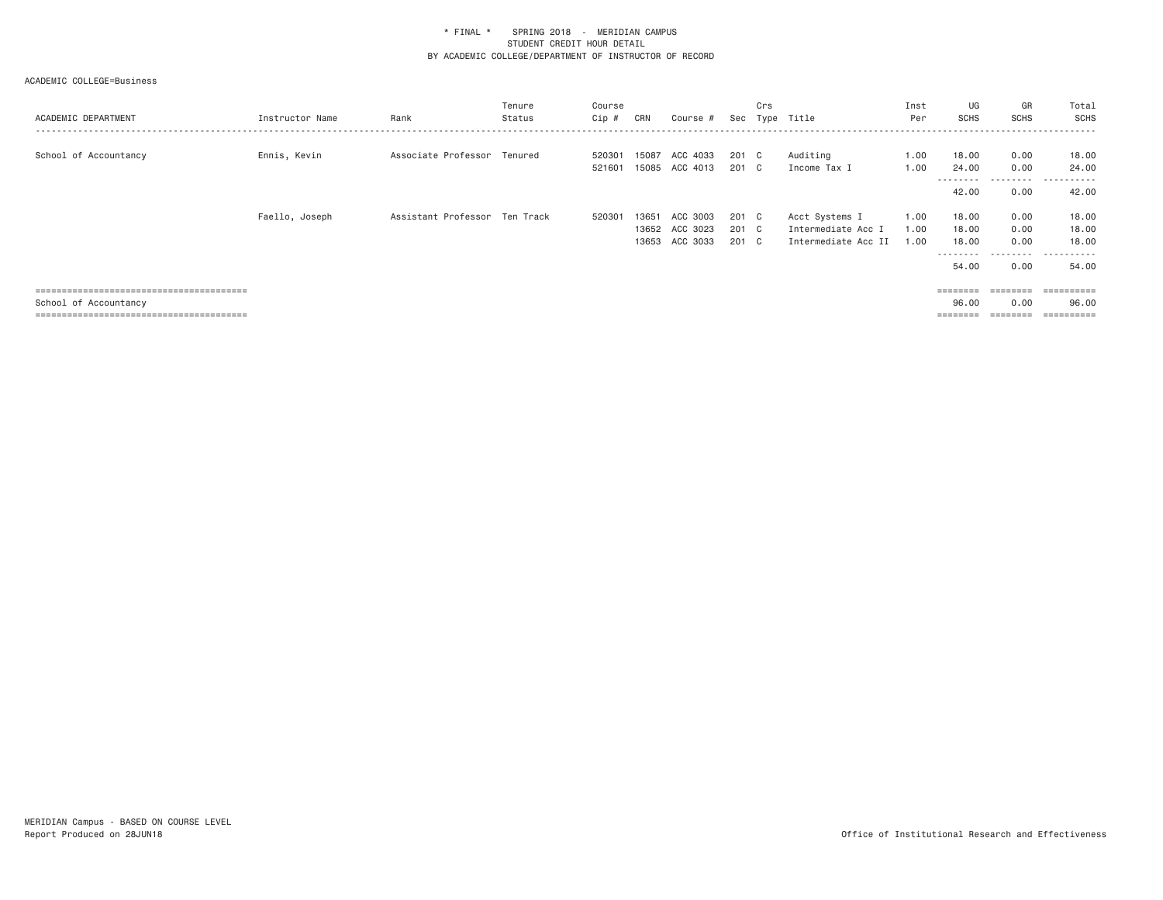| ACADEMIC DEPARTMENT   | Instructor Name | Rank                          | Tenure<br>Status | Course<br>Cip# | CRN   | Course # |       | Crs | Sec Type Title      | Inst<br>Per | UG<br><b>SCHS</b>  | GR<br>SCHS | Total<br><b>SCHS</b><br>------- |
|-----------------------|-----------------|-------------------------------|------------------|----------------|-------|----------|-------|-----|---------------------|-------------|--------------------|------------|---------------------------------|
| School of Accountancy | Ennis, Kevin    | Associate Professor Tenured   |                  | 520301         | 15087 | ACC 4033 | 201 C |     | Auditing            | 1.00        | 18.00              | 0.00       | 18,00                           |
|                       |                 |                               |                  | 521601         | 15085 | ACC 4013 | 201 C |     | Income Tax I        | 1.00        | 24.00<br>--------- | 0.00<br>.  | 24.00<br>.                      |
|                       |                 |                               |                  |                |       |          |       |     |                     |             | 42.00              | 0.00       | 42.00                           |
|                       | Faello, Joseph  | Assistant Professor Ten Track |                  | 520301         | 13651 | ACC 3003 | 201 C |     | Acct Systems I      | 1.00        | 18.00              | 0.00       | 18.00                           |
|                       |                 |                               |                  |                | 13652 | ACC 3023 | 201 C |     | Intermediate Acc I  | 1.00        | 18.00              | 0.00       | 18.00                           |
|                       |                 |                               |                  |                | 13653 | ACC 3033 | 201 C |     | Intermediate Acc II | 00.1        | 18.00              | 0.00       | 18,00                           |
|                       |                 |                               |                  |                |       |          |       |     |                     |             | --------<br>54.00  | .<br>0.00  | $- - -$<br>-------<br>54.00     |
|                       |                 |                               |                  |                |       |          |       |     |                     |             | ========           | ========   | ==========                      |
| School of Accountancy |                 |                               |                  |                |       |          |       |     |                     |             | 96.00              | 0.00       | 96.00                           |
|                       |                 |                               |                  |                |       |          |       |     |                     |             | $=$ = = = = = = =  | ========   | $=$ = = = = = = = = =           |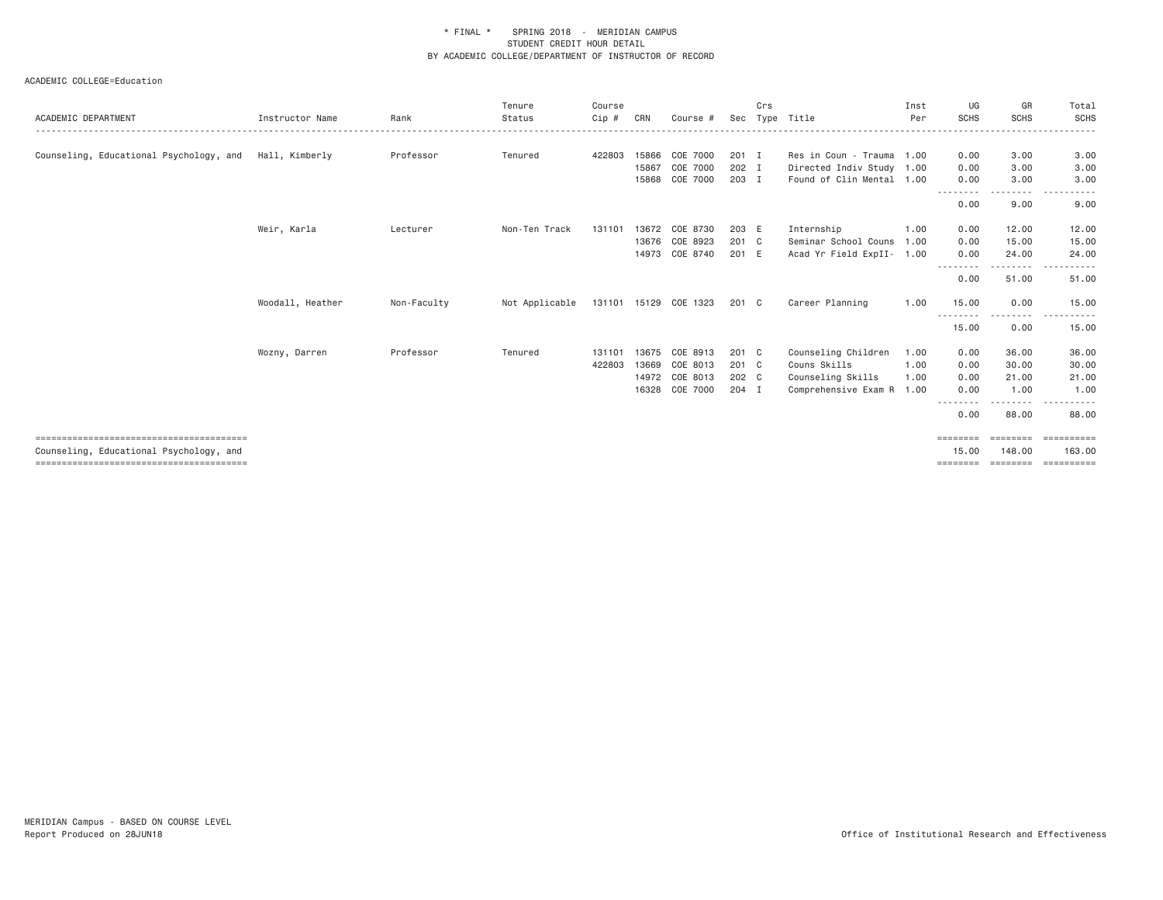| ACADEMIC DEPARTMENT                     | Instructor Name  | Rank        | Tenure<br>Status | Course<br>Cip # | CRN            | Course #              |                | Crs | Sec Type Title                                         | Inst<br>Per | UG<br><b>SCHS</b>         | GR<br>SCHS         | Total<br><b>SCHS</b>    |
|-----------------------------------------|------------------|-------------|------------------|-----------------|----------------|-----------------------|----------------|-----|--------------------------------------------------------|-------------|---------------------------|--------------------|-------------------------|
|                                         |                  |             |                  |                 |                |                       |                |     |                                                        |             |                           |                    |                         |
| Counseling, Educational Psychology, and | Hall, Kimberly   | Professor   | Tenured          | 422803          | 15866<br>15867 | COE 7000              | $201$ I        |     | Res in Coun - Trauma 1.00                              |             | 0.00                      | 3,00               | 3.00                    |
|                                         |                  |             |                  |                 | 15868          | COE 7000<br>COE 7000  | 202 I<br>203 I |     | Directed Indiv Study 1.00<br>Found of Clin Mental 1.00 |             | 0.00<br>0.00              | 3,00<br>3,00       | 3.00<br>3.00            |
|                                         |                  |             |                  |                 |                |                       |                |     |                                                        |             | --------                  | . <u>.</u>         |                         |
|                                         |                  |             |                  |                 |                |                       |                |     |                                                        |             | 0.00                      | 9.00               | 9.00                    |
|                                         | Weir, Karla      | Lecturer    | Non-Ten Track    | 131101          | 13672          | COE 8730              | 203 E          |     | Internship                                             | 1.00        | 0.00                      | 12.00              | 12.00                   |
|                                         |                  |             |                  |                 | 13676          | COE 8923              | 201 C          |     | Seminar School Couns                                   | 1.00        | 0.00                      | 15,00              | 15.00                   |
|                                         |                  |             |                  |                 |                | 14973 COE 8740        | 201 E          |     | Acad Yr Field ExpII- 1.00                              |             | 0.00<br>--------          | 24.00              | 24.00                   |
|                                         |                  |             |                  |                 |                |                       |                |     |                                                        |             | 0.00                      | 51.00              | 51.00                   |
|                                         | Woodall, Heather | Non-Faculty | Not Applicable   |                 |                | 131101 15129 COE 1323 | 201 C          |     | Career Planning                                        | 1.00        | 15.00                     | 0.00               | 15.00                   |
|                                         |                  |             |                  |                 |                |                       |                |     |                                                        |             | --------<br>15.00         | 0.00               | 15.00                   |
|                                         | Wozny, Darren    | Professor   | Tenured          | 131101          | 13675          | COE 8913              | 201 C          |     | Counseling Children                                    | 1.00        | 0.00                      | 36.00              | 36.00                   |
|                                         |                  |             |                  | 422803          | 13669          | COE 8013              | 201 C          |     | Couns Skills                                           | 1.00        | 0.00                      | 30,00              | 30.00                   |
|                                         |                  |             |                  |                 | 14972          | COE 8013              | 202 C          |     | Counseling Skills                                      | 1.00        | 0.00                      | 21,00              | 21.00                   |
|                                         |                  |             |                  |                 | 16328          | COE 7000              | 204 I          |     | Comprehensive Exam R 1.00                              |             | 0.00<br>- - - - - - - - - | 1,00<br>. <u>.</u> | 1.00<br>.               |
|                                         |                  |             |                  |                 |                |                       |                |     |                                                        |             | 0.00                      | 88.00              | 88.00                   |
|                                         |                  |             |                  |                 |                |                       |                |     |                                                        |             | ========                  | ========           | $=$ = = = = = = = = = = |
| Counseling, Educational Psychology, and |                  |             |                  |                 |                |                       |                |     |                                                        |             | 15,00<br>========         | 148,00<br>======== | 163,00<br>-----------   |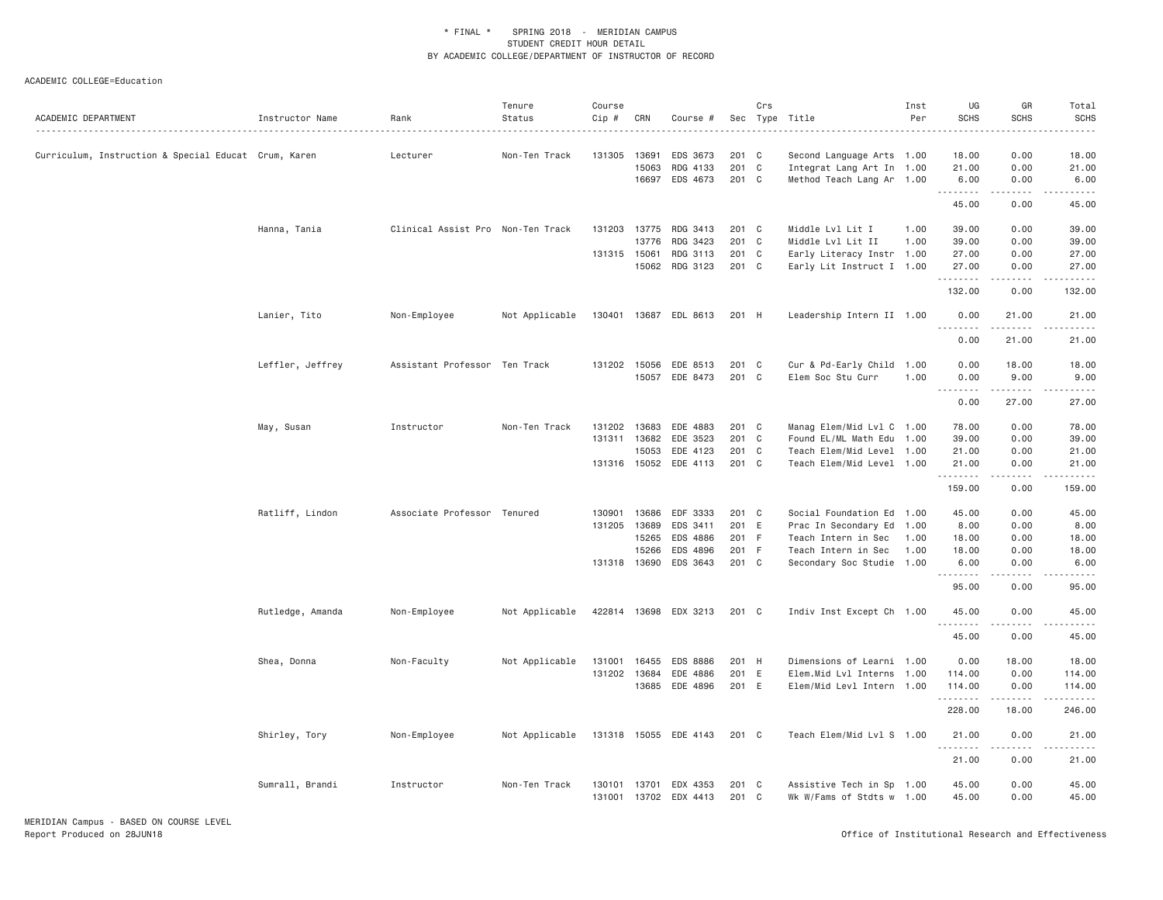| ACADEMIC DEPARTMENT                                  | Instructor Name  | Rank                              | Tenure<br>Status | Course<br>Cip#   | CRN            | Course #              | Sec            | Crs | Type Title                                             | Inst<br>Per | UG<br><b>SCHS</b>                                                                                                                                                  | GR<br><b>SCHS</b>       | Total<br><b>SCHS</b> |
|------------------------------------------------------|------------------|-----------------------------------|------------------|------------------|----------------|-----------------------|----------------|-----|--------------------------------------------------------|-------------|--------------------------------------------------------------------------------------------------------------------------------------------------------------------|-------------------------|----------------------|
|                                                      |                  |                                   |                  |                  |                |                       |                |     |                                                        |             |                                                                                                                                                                    |                         |                      |
| Curriculum, Instruction & Special Educat Crum, Karen |                  | Lecturer                          | Non-Ten Track    | 131305           | 13691          | EDS 3673              | 201 C          |     | Second Language Arts 1.00                              |             | 18,00                                                                                                                                                              | 0.00                    | 18.00                |
|                                                      |                  |                                   |                  |                  | 15063          | RDG 4133              | 201 C          |     | Integrat Lang Art In 1.00                              |             | 21.00                                                                                                                                                              | 0.00                    | 21.00                |
|                                                      |                  |                                   |                  |                  | 16697          | EDS 4673              | 201 C          |     | Method Teach Lang Ar 1.00                              |             | 6.00<br>.                                                                                                                                                          | 0.00<br>.               | 6.00<br>.            |
|                                                      |                  |                                   |                  |                  |                |                       |                |     |                                                        |             | 45.00                                                                                                                                                              | 0.00                    | 45.00                |
|                                                      | Hanna, Tania     | Clinical Assist Pro Non-Ten Track |                  | 131203           | 13775          | RDG 3413              | 201 C          |     | Middle Lvl Lit I                                       | 1.00        | 39.00                                                                                                                                                              | 0.00                    | 39.00                |
|                                                      |                  |                                   |                  |                  | 13776          | RDG 3423              | 201 C          |     | Middle Lvl Lit II                                      | 1.00        | 39.00                                                                                                                                                              | 0.00                    | 39.00                |
|                                                      |                  |                                   |                  | 131315 15061     |                | RDG 3113              | 201 C          |     | Early Literacy Instr 1.00                              |             | 27.00                                                                                                                                                              | 0.00                    | 27.00                |
|                                                      |                  |                                   |                  |                  | 15062          | RDG 3123              | 201 C          |     | Early Lit Instruct I 1.00                              |             | 27.00<br>.                                                                                                                                                         | 0.00<br>$2 - 2 - 2 - 2$ | 27.00                |
|                                                      |                  |                                   |                  |                  |                |                       |                |     |                                                        |             | 132.00                                                                                                                                                             | 0.00                    | 132.00               |
|                                                      | Lanier, Tito     | Non-Employee                      | Not Applicable   |                  |                | 130401 13687 EDL 8613 | 201 H          |     | Leadership Intern II 1.00                              |             | 0.00<br>.                                                                                                                                                          | 21.00                   | 21.00<br>.           |
|                                                      |                  |                                   |                  |                  |                |                       |                |     |                                                        |             | 0.00                                                                                                                                                               | 21.00                   | 21.00                |
|                                                      | Leffler, Jeffrey | Assistant Professor Ten Track     |                  | 131202 15056     |                | EDE 8513              | 201 C          |     | Cur & Pd-Early Child 1.00                              |             | 0.00                                                                                                                                                               | 18.00                   | 18.00                |
|                                                      |                  |                                   |                  |                  | 15057          | EDE 8473              | 201 C          |     | Elem Soc Stu Curr                                      | 1.00        | 0.00                                                                                                                                                               | 9.00                    | 9.00                 |
|                                                      |                  |                                   |                  |                  |                |                       |                |     |                                                        |             | $\frac{1}{2} \left( \frac{1}{2} \right) \left( \frac{1}{2} \right) \left( \frac{1}{2} \right) \left( \frac{1}{2} \right) \left( \frac{1}{2} \right)$<br>44<br>0.00 | .<br>27.00              | .<br>27.00           |
|                                                      | May, Susan       | Instructor                        | Non-Ten Track    | 131202           | 13683          | EDE 4883              | 201 C          |     | Manag Elem/Mid Lvl C 1.00                              |             | 78.00                                                                                                                                                              | 0.00                    | 78.00                |
|                                                      |                  |                                   |                  | 131311           | 13682          | EDE 3523              | 201 C          |     | Found EL/ML Math Edu 1.00                              |             | 39.00                                                                                                                                                              | 0.00                    | 39.00                |
|                                                      |                  |                                   |                  |                  | 15053          | EDE 4123              | 201 C          |     | Teach Elem/Mid Level 1.00                              |             | 21.00                                                                                                                                                              | 0.00                    | 21.00                |
|                                                      |                  |                                   |                  | 131316 15052     |                | EDE 4113              | 201 C          |     | Teach Elem/Mid Level 1.00                              |             | 21.00                                                                                                                                                              | 0.00                    | 21.00                |
|                                                      |                  |                                   |                  |                  |                |                       |                |     |                                                        |             | .<br>159.00                                                                                                                                                        | .<br>0.00               | <b>.</b><br>159.00   |
|                                                      | Ratliff, Lindon  | Associate Professor Tenured       |                  | 130901           | 13686          | EDF 3333              | 201 C          |     | Social Foundation Ed 1.00                              |             | 45.00                                                                                                                                                              | 0.00                    | 45.00                |
|                                                      |                  |                                   |                  | 131205           | 13689          | EDS 3411              | 201 E          |     | Prac In Secondary Ed 1.00                              |             | 8.00                                                                                                                                                               | 0.00                    | 8.00                 |
|                                                      |                  |                                   |                  |                  | 15265          | EDS 4886              | 201 F          |     | Teach Intern in Sec                                    | 1.00        | 18.00                                                                                                                                                              | 0.00                    | 18.00                |
|                                                      |                  |                                   |                  |                  | 15266          | EDS 4896              | 201 F          |     | Teach Intern in Sec                                    | 1.00        | 18.00                                                                                                                                                              | 0.00                    | 18.00                |
|                                                      |                  |                                   |                  | 131318 13690     |                | EDS 3643              | 201 C          |     | Secondary Soc Studie 1.00                              |             | 6.00<br>.                                                                                                                                                          | 0.00<br>.               | 6.00<br>.            |
|                                                      |                  |                                   |                  |                  |                |                       |                |     |                                                        |             | 95.00                                                                                                                                                              | 0.00                    | 95.00                |
|                                                      | Rutledge, Amanda | Non-Employee                      | Not Applicable   |                  |                | 422814 13698 EDX 3213 | 201 C          |     | Indiv Inst Except Ch 1.00                              |             | 45.00<br>.                                                                                                                                                         | 0.00<br>.               | 45.00<br>.           |
|                                                      |                  |                                   |                  |                  |                |                       |                |     |                                                        |             | 45.00                                                                                                                                                              | 0.00                    | 45.00                |
|                                                      | Shea, Donna      | Non-Faculty                       | Not Applicable   | 131001           | 16455          | EDS 8886              | 201 H          |     | Dimensions of Learni 1.00                              |             | 0.00                                                                                                                                                               | 18.00                   | 18.00                |
|                                                      |                  |                                   |                  | 131202           | 13684          | EDE 4886              | 201 E          |     | Elem.Mid Lvl Interns 1.00                              |             | 114.00                                                                                                                                                             | 0.00                    | 114.00               |
|                                                      |                  |                                   |                  |                  | 13685          | EDE 4896              | 201 E          |     | Elem/Mid Levl Intern 1.00                              |             | 114.00<br>.                                                                                                                                                        | 0.00<br>.               | 114.00<br>.          |
|                                                      |                  |                                   |                  |                  |                |                       |                |     |                                                        |             | 228.00                                                                                                                                                             | 18.00                   | 246.00               |
|                                                      | Shirley, Tory    | Non-Employee                      | Not Applicable   |                  |                | 131318 15055 EDE 4143 | 201 C          |     | Teach Elem/Mid Lvl S 1.00                              |             | 21.00<br>.                                                                                                                                                         | 0.00<br>.               | 21.00<br>.           |
|                                                      |                  |                                   |                  |                  |                |                       |                |     |                                                        |             | 21.00                                                                                                                                                              | 0.00                    | 21.00                |
|                                                      | Sumrall, Brandi  | Instructor                        | Non-Ten Track    | 130101<br>131001 | 13701<br>13702 | EDX 4353<br>EDX 4413  | 201 C<br>201 C |     | Assistive Tech in Sp 1.00<br>Wk W/Fams of Stdts w 1.00 |             | 45.00<br>45.00                                                                                                                                                     | 0.00<br>0.00            | 45.00<br>45.00       |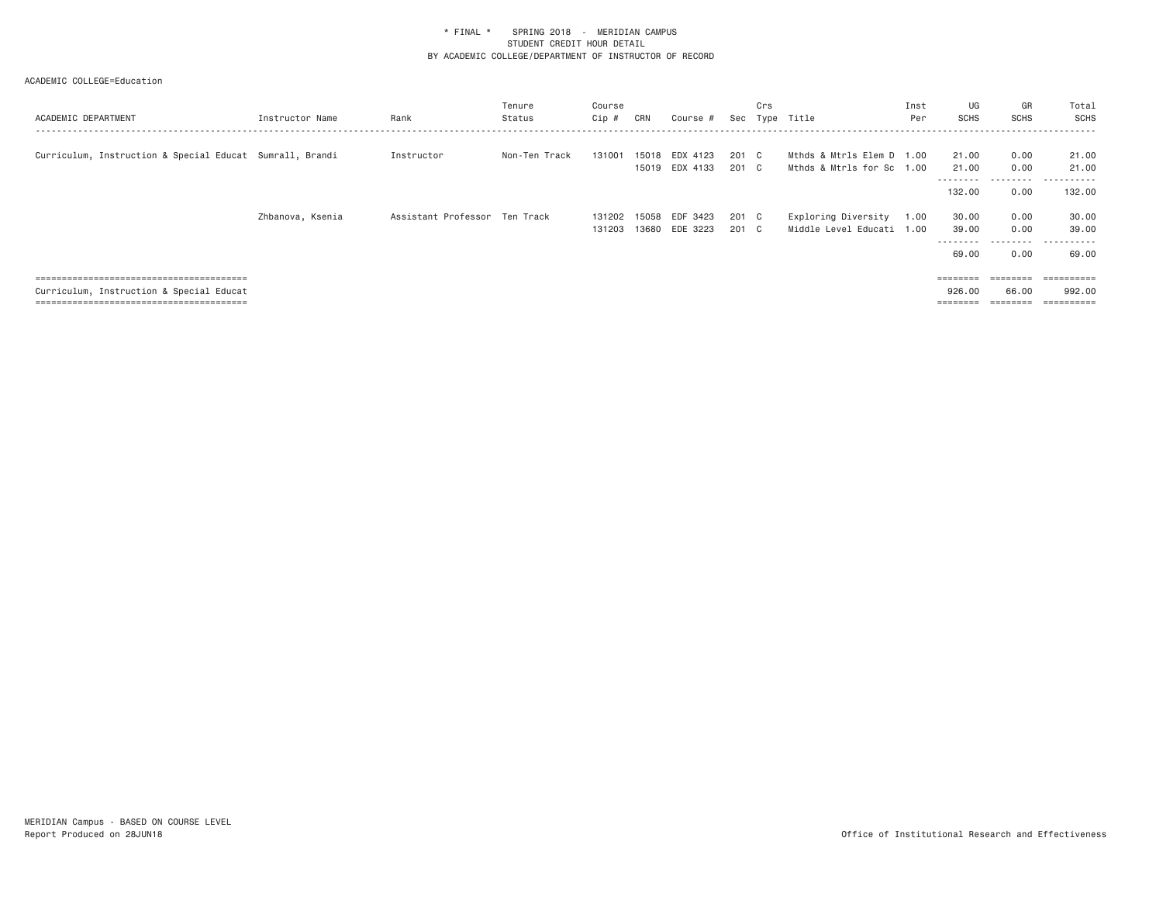| ACADEMIC DEPARTMENT                                      | Instructor Name  | Rank                          | Tenure<br>Status | Course<br>Cip #  | CRN            | Course #                   | Sec            | Crs | Type Title                                             | Inst<br>Per | UG<br><b>SCHS</b>                                                                | GR<br><b>SCHS</b>         | Total<br>SCHS                  |
|----------------------------------------------------------|------------------|-------------------------------|------------------|------------------|----------------|----------------------------|----------------|-----|--------------------------------------------------------|-------------|----------------------------------------------------------------------------------|---------------------------|--------------------------------|
| Curriculum, Instruction & Special Educat Sumrall, Brandi |                  | Instructor                    | Non-Ten Track    | 131001           | 15018          | EDX 4123<br>15019 EDX 4133 | 201 C<br>201 C |     | Mthds & Mtrls Elem D 1.00<br>Mthds & Mtrls for Sc 1.00 |             | 21.00<br>21.00                                                                   | 0.00<br>0.00              | 21.00<br>21,00                 |
|                                                          |                  |                               |                  |                  |                |                            |                |     |                                                        |             | ---------<br>132.00                                                              | .<br>0.00                 | .<br>132,00                    |
|                                                          | Zhbanova, Ksenia | Assistant Professor Ten Track |                  | 131202<br>131203 | 15058<br>13680 | EDF 3423<br>EDE 3223       | 201 C<br>201 C |     | Exploring Diversity<br>Middle Level Educati 1.00       | 1.00        | 30.00<br>39.00<br>---------                                                      | 0.00<br>0.00<br>--------- | 30.00<br>39,00<br>.            |
|                                                          |                  |                               |                  |                  |                |                            |                |     |                                                        |             | 69.00<br>$\qquad \qquad \equiv \equiv \equiv \equiv \equiv \equiv \equiv \equiv$ | 0.00<br>========          | 69.00<br>$=$ = = = = = = = = = |
| Curriculum, Instruction & Special Educat                 |                  |                               |                  |                  |                |                            |                |     |                                                        |             | 926,00                                                                           | 66.00                     | 992,00<br>==========           |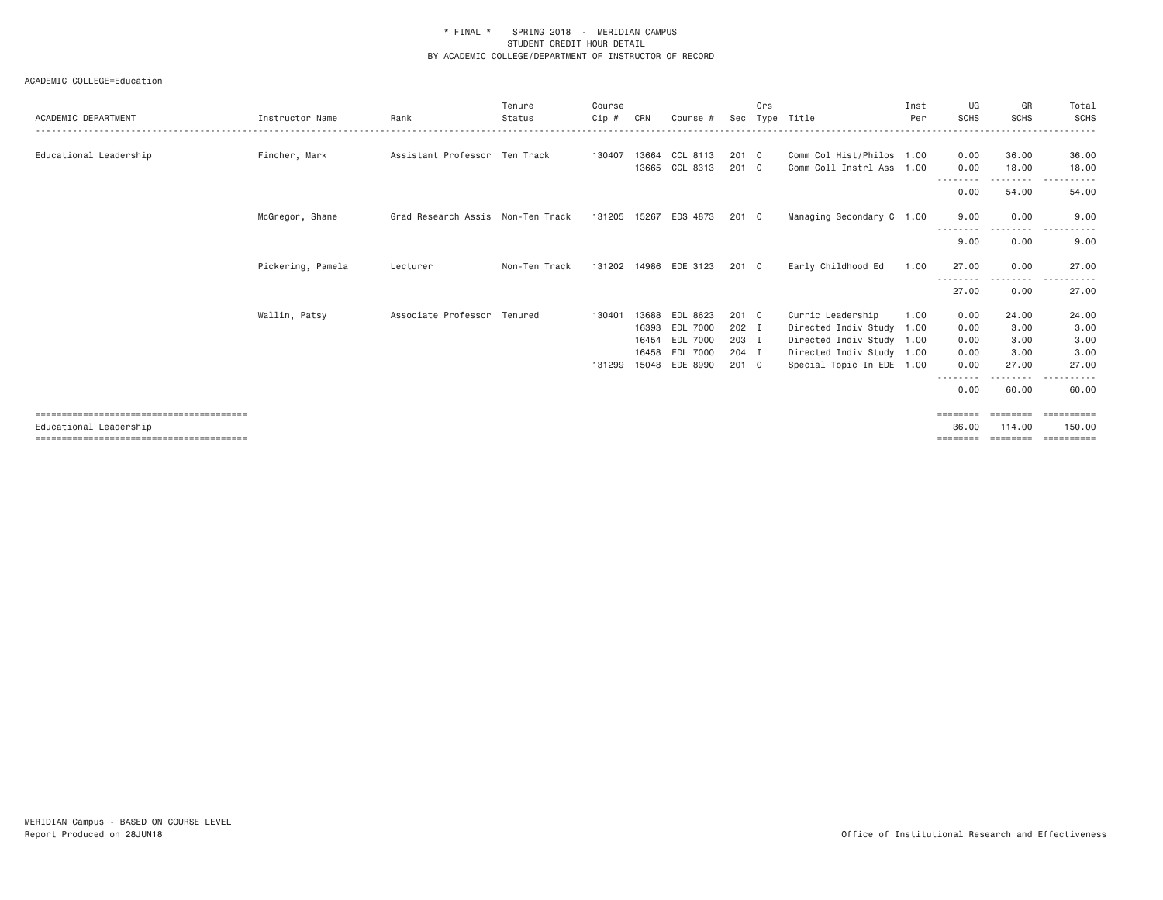| ACADEMIC DEPARTMENT    | Instructor Name   | Rank                              | Tenure<br>Status | Course<br>$Cip$ # | CRN                     | Course #                         | Sec                     | Crs | Type Title                                                                  | Inst<br>Per | UG<br><b>SCHS</b>                      | GR<br><b>SCHS</b>                          | Total<br><b>SCHS</b>                 |
|------------------------|-------------------|-----------------------------------|------------------|-------------------|-------------------------|----------------------------------|-------------------------|-----|-----------------------------------------------------------------------------|-------------|----------------------------------------|--------------------------------------------|--------------------------------------|
| Educational Leadership | Fincher, Mark     | Assistant Professor Ten Track     |                  | 130407            | 13664<br>13665          | CCL 8113<br>CCL 8313             | 201 C<br>201 C          |     | Comm Col Hist/Philos 1.00<br>Comm Coll Instrl Ass 1.00                      |             | 0.00<br>0.00                           | 36.00<br>18,00                             | 36.00<br>18.00                       |
|                        |                   |                                   |                  |                   |                         |                                  |                         |     |                                                                             |             | 0.00                                   | 54.00                                      | 54.00                                |
|                        | McGregor, Shane   | Grad Research Assis Non-Ten Track |                  |                   |                         | 131205 15267 EDS 4873            | 201 C                   |     | Managing Secondary C 1.00                                                   |             | 9,00                                   | 0.00<br>$\cdots$                           | 9.00                                 |
|                        |                   |                                   |                  |                   |                         |                                  |                         |     |                                                                             |             | 9.00                                   | 0.00                                       | 9.00                                 |
|                        | Pickering, Pamela | Lecturer                          | Non-Ten Track    | 131202            |                         | 14986 EDE 3123                   | 201 C                   |     | Early Childhood Ed                                                          | 1.00        | 27.00                                  | 0.00                                       | 27.00                                |
|                        |                   |                                   |                  |                   |                         |                                  |                         |     |                                                                             |             | 27.00                                  | 0.00                                       | 27.00                                |
|                        | Wallin, Patsy     | Associate Professor               | Tenured          | 130401            | 13688<br>16393<br>16454 | EDL 8623<br>EDL 7000<br>EDL 7000 | 201 C<br>202 I<br>203 I |     | Curric Leadership<br>Directed Indiv Study 1.00<br>Directed Indiv Study 1.00 | 1.00        | 0.00<br>0.00<br>0.00                   | 24,00<br>3.00<br>3,00                      | 24.00<br>3.00<br>3.00                |
|                        |                   |                                   |                  | 131299            |                         | 16458 EDL 7000<br>15048 EDE 8990 | 204 I<br>201 C          |     | Directed Indiv Study 1.00<br>Special Topic In EDE 1.00                      |             | 0.00<br>0.00                           | 3,00<br>27.00                              | 3.00<br>27.00                        |
|                        |                   |                                   |                  |                   |                         |                                  |                         |     |                                                                             |             | 0.00                                   | .<br>60.00                                 | <u>.</u><br>60,00                    |
| Educational Leadership |                   |                                   |                  |                   |                         |                                  |                         |     |                                                                             |             | $=$ = = = = = = =<br>36.00<br>======== | $=$ =======<br>114,00<br>$=$ = = = = = = = | - ==========<br>150.00<br>========== |